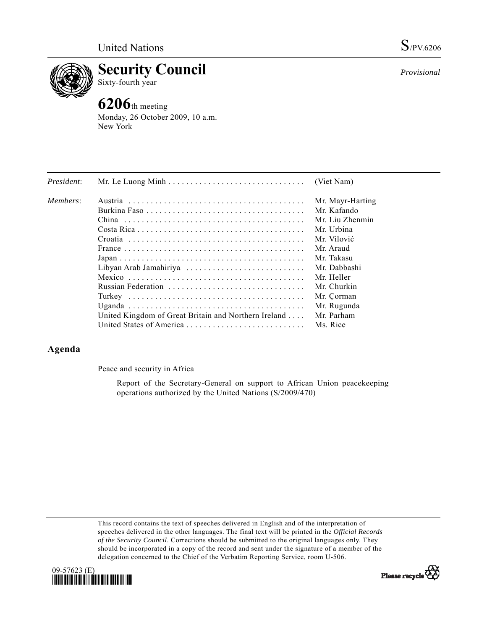

**Security Council** 

Sixty-fourth year

# **6206**th meeting

Monday, 26 October 2009, 10 a.m. New York

| President: |                                                      | (Viet Nam)       |
|------------|------------------------------------------------------|------------------|
| Members:   |                                                      | Mr. Mayr-Harting |
|            |                                                      | Mr. Kafando      |
|            |                                                      | Mr. Liu Zhenmin  |
|            |                                                      | Mr. Urbina       |
|            |                                                      | Mr. Vilović      |
|            |                                                      | Mr. Araud        |
|            |                                                      | Mr. Takasu       |
|            | Libyan Arab Jamahiriya                               | Mr. Dabbashi     |
|            |                                                      | Mr. Heller       |
|            | Russian Federation                                   | Mr. Churkin      |
|            |                                                      | Mr. Corman       |
|            |                                                      | Mr. Rugunda      |
|            | United Kingdom of Great Britain and Northern Ireland | Mr. Parham       |
|            | United States of America                             | Ms. Rice         |

# **Agenda**

Peace and security in Africa

 Report of the Secretary-General on support to African Union peacekeeping operations authorized by the United Nations (S/2009/470)

This record contains the text of speeches delivered in English and of the interpretation of speeches delivered in the other languages. The final text will be printed in the *Official Records of the Security Council*. Corrections should be submitted to the original languages only. They should be incorporated in a copy of the record and sent under the signature of a member of the delegation concerned to the Chief of the Verbatim Reporting Service, room U-506.





*Provisional*

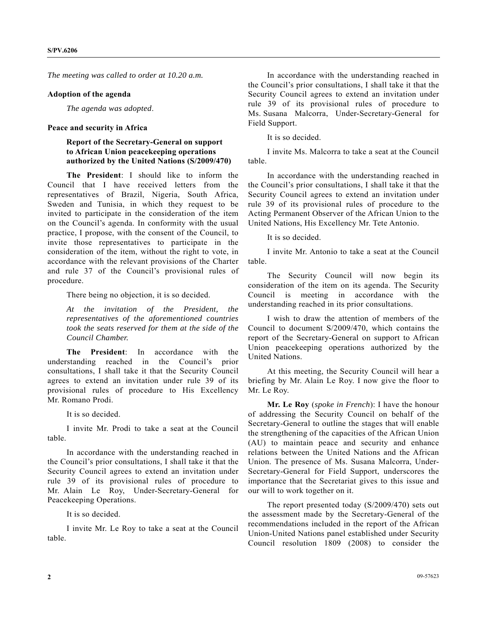*The meeting was called to order at 10.20 a.m.* 

#### **Adoption of the agenda**

*The agenda was adopted*.

## **Peace and security in Africa**

# **Report of the Secretary-General on support to African Union peacekeeping operations authorized by the United Nations (S/2009/470)**

**The President**: I should like to inform the Council that I have received letters from the representatives of Brazil, Nigeria, South Africa, Sweden and Tunisia, in which they request to be invited to participate in the consideration of the item on the Council's agenda. In conformity with the usual practice, I propose, with the consent of the Council, to invite those representatives to participate in the consideration of the item, without the right to vote, in accordance with the relevant provisions of the Charter and rule 37 of the Council's provisional rules of procedure.

There being no objection, it is so decided.

*At the invitation of the President, the representatives of the aforementioned countries took the seats reserved for them at the side of the Council Chamber.* 

**The President**: In accordance with the understanding reached in the Council's prior consultations, I shall take it that the Security Council agrees to extend an invitation under rule 39 of its provisional rules of procedure to His Excellency Mr. Romano Prodi.

It is so decided.

 I invite Mr. Prodi to take a seat at the Council table.

 In accordance with the understanding reached in the Council's prior consultations, I shall take it that the Security Council agrees to extend an invitation under rule 39 of its provisional rules of procedure to Mr. Alain Le Roy, Under-Secretary-General for Peacekeeping Operations.

It is so decided.

 I invite Mr. Le Roy to take a seat at the Council table.

 In accordance with the understanding reached in the Council's prior consultations, I shall take it that the Security Council agrees to extend an invitation under rule 39 of its provisional rules of procedure to Ms. Susana Malcorra, Under-Secretary-General for Field Support.

It is so decided.

 I invite Ms. Malcorra to take a seat at the Council table.

 In accordance with the understanding reached in the Council's prior consultations, I shall take it that the Security Council agrees to extend an invitation under rule 39 of its provisional rules of procedure to the Acting Permanent Observer of the African Union to the United Nations, His Excellency Mr. Tete Antonio.

It is so decided.

 I invite Mr. Antonio to take a seat at the Council table.

 The Security Council will now begin its consideration of the item on its agenda. The Security Council is meeting in accordance with the understanding reached in its prior consultations.

 I wish to draw the attention of members of the Council to document S/2009/470, which contains the report of the Secretary-General on support to African Union peacekeeping operations authorized by the United Nations.

 At this meeting, the Security Council will hear a briefing by Mr. Alain Le Roy. I now give the floor to Mr. Le Roy.

**Mr. Le Roy** (*spoke in French*): I have the honour of addressing the Security Council on behalf of the Secretary-General to outline the stages that will enable the strengthening of the capacities of the African Union (AU) to maintain peace and security and enhance relations between the United Nations and the African Union. The presence of Ms. Susana Malcorra, Under-Secretary-General for Field Support, underscores the importance that the Secretariat gives to this issue and our will to work together on it.

 The report presented today (S/2009/470) sets out the assessment made by the Secretary-General of the recommendations included in the report of the African Union-United Nations panel established under Security Council resolution 1809 (2008) to consider the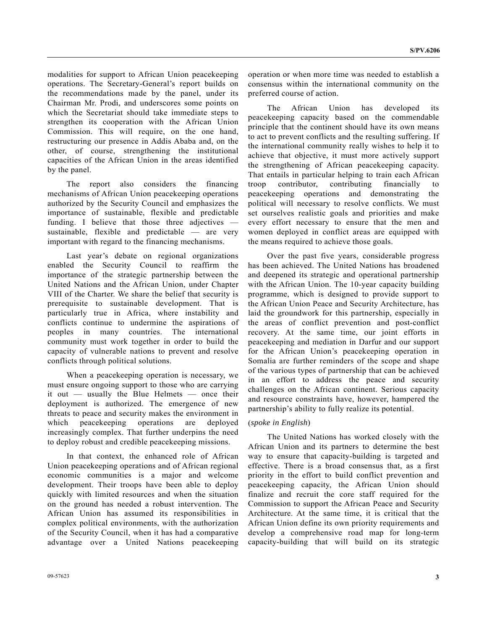modalities for support to African Union peacekeeping operations. The Secretary-General's report builds on the recommendations made by the panel, under its Chairman Mr. Prodi, and underscores some points on which the Secretariat should take immediate steps to strengthen its cooperation with the African Union Commission. This will require, on the one hand, restructuring our presence in Addis Ababa and, on the other, of course, strengthening the institutional capacities of the African Union in the areas identified by the panel.

 The report also considers the financing mechanisms of African Union peacekeeping operations authorized by the Security Council and emphasizes the importance of sustainable, flexible and predictable funding. I believe that those three adjectives sustainable, flexible and predictable — are very important with regard to the financing mechanisms.

 Last year's debate on regional organizations enabled the Security Council to reaffirm the importance of the strategic partnership between the United Nations and the African Union, under Chapter VIII of the Charter. We share the belief that security is prerequisite to sustainable development. That is particularly true in Africa, where instability and conflicts continue to undermine the aspirations of peoples in many countries. The international community must work together in order to build the capacity of vulnerable nations to prevent and resolve conflicts through political solutions.

 When a peacekeeping operation is necessary, we must ensure ongoing support to those who are carrying it out — usually the Blue Helmets — once their deployment is authorized. The emergence of new threats to peace and security makes the environment in which peacekeeping operations are deployed increasingly complex. That further underpins the need to deploy robust and credible peacekeeping missions.

 In that context, the enhanced role of African Union peacekeeping operations and of African regional economic communities is a major and welcome development. Their troops have been able to deploy quickly with limited resources and when the situation on the ground has needed a robust intervention. The African Union has assumed its responsibilities in complex political environments, with the authorization of the Security Council, when it has had a comparative advantage over a United Nations peacekeeping

operation or when more time was needed to establish a consensus within the international community on the preferred course of action.

 The African Union has developed its peacekeeping capacity based on the commendable principle that the continent should have its own means to act to prevent conflicts and the resulting suffering. If the international community really wishes to help it to achieve that objective, it must more actively support the strengthening of African peacekeeping capacity. That entails in particular helping to train each African troop contributor, contributing financially to peacekeeping operations and demonstrating the political will necessary to resolve conflicts. We must set ourselves realistic goals and priorities and make every effort necessary to ensure that the men and women deployed in conflict areas are equipped with the means required to achieve those goals.

 Over the past five years, considerable progress has been achieved. The United Nations has broadened and deepened its strategic and operational partnership with the African Union. The 10-year capacity building programme, which is designed to provide support to the African Union Peace and Security Architecture, has laid the groundwork for this partnership, especially in the areas of conflict prevention and post-conflict recovery. At the same time, our joint efforts in peacekeeping and mediation in Darfur and our support for the African Union's peacekeeping operation in Somalia are further reminders of the scope and shape of the various types of partnership that can be achieved in an effort to address the peace and security challenges on the African continent. Serious capacity and resource constraints have, however, hampered the partnership's ability to fully realize its potential.

# (*spoke in English*)

 The United Nations has worked closely with the African Union and its partners to determine the best way to ensure that capacity-building is targeted and effective. There is a broad consensus that, as a first priority in the effort to build conflict prevention and peacekeeping capacity, the African Union should finalize and recruit the core staff required for the Commission to support the African Peace and Security Architecture. At the same time, it is critical that the African Union define its own priority requirements and develop a comprehensive road map for long-term capacity-building that will build on its strategic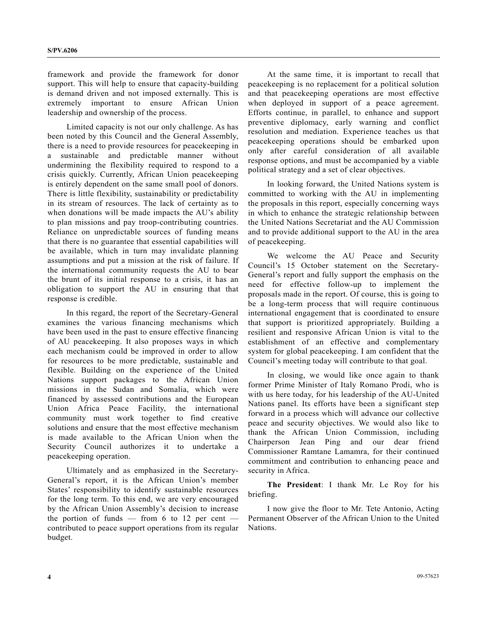framework and provide the framework for donor support. This will help to ensure that capacity-building is demand driven and not imposed externally. This is extremely important to ensure African Union leadership and ownership of the process.

 Limited capacity is not our only challenge. As has been noted by this Council and the General Assembly, there is a need to provide resources for peacekeeping in a sustainable and predictable manner without undermining the flexibility required to respond to a crisis quickly. Currently, African Union peacekeeping is entirely dependent on the same small pool of donors. There is little flexibility, sustainability or predictability in its stream of resources. The lack of certainty as to when donations will be made impacts the AU's ability to plan missions and pay troop-contributing countries. Reliance on unpredictable sources of funding means that there is no guarantee that essential capabilities will be available, which in turn may invalidate planning assumptions and put a mission at the risk of failure. If the international community requests the AU to bear the brunt of its initial response to a crisis, it has an obligation to support the AU in ensuring that that response is credible.

 In this regard, the report of the Secretary-General examines the various financing mechanisms which have been used in the past to ensure effective financing of AU peacekeeping. It also proposes ways in which each mechanism could be improved in order to allow for resources to be more predictable, sustainable and flexible. Building on the experience of the United Nations support packages to the African Union missions in the Sudan and Somalia, which were financed by assessed contributions and the European Union Africa Peace Facility, the international community must work together to find creative solutions and ensure that the most effective mechanism is made available to the African Union when the Security Council authorizes it to undertake a peacekeeping operation.

 Ultimately and as emphasized in the Secretary-General's report, it is the African Union's member States' responsibility to identify sustainable resources for the long term. To this end, we are very encouraged by the African Union Assembly's decision to increase the portion of funds — from 6 to 12 per cent contributed to peace support operations from its regular budget.

 At the same time, it is important to recall that peacekeeping is no replacement for a political solution and that peacekeeping operations are most effective when deployed in support of a peace agreement. Efforts continue, in parallel, to enhance and support preventive diplomacy, early warning and conflict resolution and mediation. Experience teaches us that peacekeeping operations should be embarked upon only after careful consideration of all available response options, and must be accompanied by a viable political strategy and a set of clear objectives.

 In looking forward, the United Nations system is committed to working with the AU in implementing the proposals in this report, especially concerning ways in which to enhance the strategic relationship between the United Nations Secretariat and the AU Commission and to provide additional support to the AU in the area of peacekeeping.

 We welcome the AU Peace and Security Council's 15 October statement on the Secretary-General's report and fully support the emphasis on the need for effective follow-up to implement the proposals made in the report. Of course, this is going to be a long-term process that will require continuous international engagement that is coordinated to ensure that support is prioritized appropriately. Building a resilient and responsive African Union is vital to the establishment of an effective and complementary system for global peacekeeping. I am confident that the Council's meeting today will contribute to that goal.

 In closing, we would like once again to thank former Prime Minister of Italy Romano Prodi, who is with us here today, for his leadership of the AU-United Nations panel. Its efforts have been a significant step forward in a process which will advance our collective peace and security objectives. We would also like to thank the African Union Commission, including Chairperson Jean Ping and our dear friend Commissioner Ramtane Lamamra, for their continued commitment and contribution to enhancing peace and security in Africa.

**The President**: I thank Mr. Le Roy for his briefing.

 I now give the floor to Mr. Tete Antonio, Acting Permanent Observer of the African Union to the United Nations.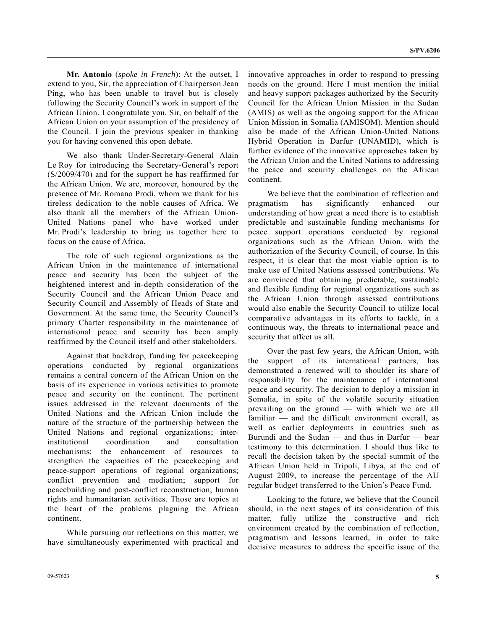**Mr. Antonio** (*spoke in French*): At the outset, I extend to you, Sir, the appreciation of Chairperson Jean Ping, who has been unable to travel but is closely following the Security Council's work in support of the African Union. I congratulate you, Sir, on behalf of the African Union on your assumption of the presidency of the Council. I join the previous speaker in thanking you for having convened this open debate.

 We also thank Under-Secretary-General Alain Le Roy for introducing the Secretary-General's report (S/2009/470) and for the support he has reaffirmed for the African Union. We are, moreover, honoured by the presence of Mr. Romano Prodi, whom we thank for his tireless dedication to the noble causes of Africa. We also thank all the members of the African Union-United Nations panel who have worked under Mr. Prodi's leadership to bring us together here to focus on the cause of Africa.

 The role of such regional organizations as the African Union in the maintenance of international peace and security has been the subject of the heightened interest and in-depth consideration of the Security Council and the African Union Peace and Security Council and Assembly of Heads of State and Government. At the same time, the Security Council's primary Charter responsibility in the maintenance of international peace and security has been amply reaffirmed by the Council itself and other stakeholders.

 Against that backdrop, funding for peacekeeping operations conducted by regional organizations remains a central concern of the African Union on the basis of its experience in various activities to promote peace and security on the continent. The pertinent issues addressed in the relevant documents of the United Nations and the African Union include the nature of the structure of the partnership between the United Nations and regional organizations; interinstitutional coordination and consultation mechanisms; the enhancement of resources to strengthen the capacities of the peacekeeping and peace-support operations of regional organizations; conflict prevention and mediation; support for peacebuilding and post-conflict reconstruction; human rights and humanitarian activities. Those are topics at the heart of the problems plaguing the African continent.

 While pursuing our reflections on this matter, we have simultaneously experimented with practical and innovative approaches in order to respond to pressing needs on the ground. Here I must mention the initial and heavy support packages authorized by the Security Council for the African Union Mission in the Sudan (AMIS) as well as the ongoing support for the African Union Mission in Somalia (AMISOM). Mention should also be made of the African Union-United Nations Hybrid Operation in Darfur (UNAMID), which is further evidence of the innovative approaches taken by the African Union and the United Nations to addressing the peace and security challenges on the African continent.

 We believe that the combination of reflection and pragmatism has significantly enhanced our understanding of how great a need there is to establish predictable and sustainable funding mechanisms for peace support operations conducted by regional organizations such as the African Union, with the authorization of the Security Council, of course. In this respect, it is clear that the most viable option is to make use of United Nations assessed contributions. We are convinced that obtaining predictable, sustainable and flexible funding for regional organizations such as the African Union through assessed contributions would also enable the Security Council to utilize local comparative advantages in its efforts to tackle, in a continuous way, the threats to international peace and security that affect us all.

 Over the past few years, the African Union, with the support of its international partners, has demonstrated a renewed will to shoulder its share of responsibility for the maintenance of international peace and security. The decision to deploy a mission in Somalia, in spite of the volatile security situation prevailing on the ground — with which we are all familiar — and the difficult environment overall, as well as earlier deployments in countries such as Burundi and the Sudan — and thus in Darfur — bear testimony to this determination. I should thus like to recall the decision taken by the special summit of the African Union held in Tripoli, Libya, at the end of August 2009, to increase the percentage of the AU regular budget transferred to the Union's Peace Fund.

 Looking to the future, we believe that the Council should, in the next stages of its consideration of this matter, fully utilize the constructive and rich environment created by the combination of reflection, pragmatism and lessons learned, in order to take decisive measures to address the specific issue of the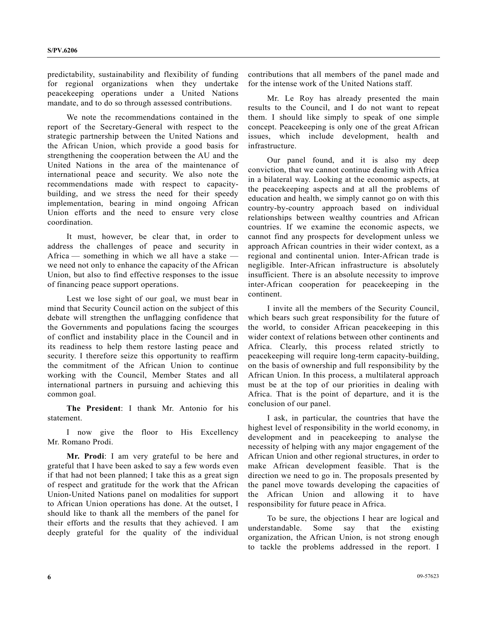predictability, sustainability and flexibility of funding for regional organizations when they undertake peacekeeping operations under a United Nations mandate, and to do so through assessed contributions.

 We note the recommendations contained in the report of the Secretary-General with respect to the strategic partnership between the United Nations and the African Union, which provide a good basis for strengthening the cooperation between the AU and the United Nations in the area of the maintenance of international peace and security. We also note the recommendations made with respect to capacitybuilding, and we stress the need for their speedy implementation, bearing in mind ongoing African Union efforts and the need to ensure very close coordination.

 It must, however, be clear that, in order to address the challenges of peace and security in Africa — something in which we all have a stake we need not only to enhance the capacity of the African Union, but also to find effective responses to the issue of financing peace support operations.

 Lest we lose sight of our goal, we must bear in mind that Security Council action on the subject of this debate will strengthen the unflagging confidence that the Governments and populations facing the scourges of conflict and instability place in the Council and in its readiness to help them restore lasting peace and security. I therefore seize this opportunity to reaffirm the commitment of the African Union to continue working with the Council, Member States and all international partners in pursuing and achieving this common goal.

**The President**: I thank Mr. Antonio for his statement.

 I now give the floor to His Excellency Mr. Romano Prodi.

**Mr. Prodi**: I am very grateful to be here and grateful that I have been asked to say a few words even if that had not been planned; I take this as a great sign of respect and gratitude for the work that the African Union-United Nations panel on modalities for support to African Union operations has done. At the outset, I should like to thank all the members of the panel for their efforts and the results that they achieved. I am deeply grateful for the quality of the individual contributions that all members of the panel made and for the intense work of the United Nations staff.

 Mr. Le Roy has already presented the main results to the Council, and I do not want to repeat them. I should like simply to speak of one simple concept. Peacekeeping is only one of the great African issues, which include development, health and infrastructure.

 Our panel found, and it is also my deep conviction, that we cannot continue dealing with Africa in a bilateral way. Looking at the economic aspects, at the peacekeeping aspects and at all the problems of education and health, we simply cannot go on with this country-by-country approach based on individual relationships between wealthy countries and African countries. If we examine the economic aspects, we cannot find any prospects for development unless we approach African countries in their wider context, as a regional and continental union. Inter-African trade is negligible. Inter-African infrastructure is absolutely insufficient. There is an absolute necessity to improve inter-African cooperation for peacekeeping in the continent.

 I invite all the members of the Security Council, which bears such great responsibility for the future of the world, to consider African peacekeeping in this wider context of relations between other continents and Africa. Clearly, this process related strictly to peacekeeping will require long-term capacity-building, on the basis of ownership and full responsibility by the African Union. In this process, a multilateral approach must be at the top of our priorities in dealing with Africa. That is the point of departure, and it is the conclusion of our panel.

 I ask, in particular, the countries that have the highest level of responsibility in the world economy, in development and in peacekeeping to analyse the necessity of helping with any major engagement of the African Union and other regional structures, in order to make African development feasible. That is the direction we need to go in. The proposals presented by the panel move towards developing the capacities of the African Union and allowing it to have responsibility for future peace in Africa.

 To be sure, the objections I hear are logical and understandable. Some say that the existing organization, the African Union, is not strong enough to tackle the problems addressed in the report. I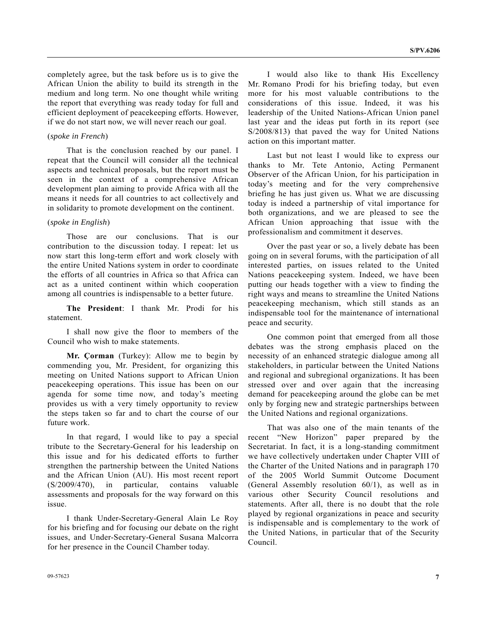completely agree, but the task before us is to give the African Union the ability to build its strength in the medium and long term. No one thought while writing the report that everything was ready today for full and efficient deployment of peacekeeping efforts. However, if we do not start now, we will never reach our goal.

# (*spoke in French*)

 That is the conclusion reached by our panel. I repeat that the Council will consider all the technical aspects and technical proposals, but the report must be seen in the context of a comprehensive African development plan aiming to provide Africa with all the means it needs for all countries to act collectively and in solidarity to promote development on the continent.

# (*spoke in English*)

 Those are our conclusions. That is our contribution to the discussion today. I repeat: let us now start this long-term effort and work closely with the entire United Nations system in order to coordinate the efforts of all countries in Africa so that Africa can act as a united continent within which cooperation among all countries is indispensable to a better future.

**The President**: I thank Mr. Prodi for his statement.

 I shall now give the floor to members of the Council who wish to make statements.

**Mr. Çorman** (Turkey): Allow me to begin by commending you, Mr. President, for organizing this meeting on United Nations support to African Union peacekeeping operations. This issue has been on our agenda for some time now, and today's meeting provides us with a very timely opportunity to review the steps taken so far and to chart the course of our future work.

 In that regard, I would like to pay a special tribute to the Secretary-General for his leadership on this issue and for his dedicated efforts to further strengthen the partnership between the United Nations and the African Union (AU). His most recent report (S/2009/470), in particular, contains valuable assessments and proposals for the way forward on this issue.

 I thank Under-Secretary-General Alain Le Roy for his briefing and for focusing our debate on the right issues, and Under-Secretary-General Susana Malcorra for her presence in the Council Chamber today.

 I would also like to thank His Excellency Mr. Romano Prodi for his briefing today, but even more for his most valuable contributions to the considerations of this issue. Indeed, it was his leadership of the United Nations-African Union panel last year and the ideas put forth in its report (see S/2008/813) that paved the way for United Nations action on this important matter.

 Last but not least I would like to express our thanks to Mr. Tete Antonio, Acting Permanent Observer of the African Union, for his participation in today's meeting and for the very comprehensive briefing he has just given us. What we are discussing today is indeed a partnership of vital importance for both organizations, and we are pleased to see the African Union approaching that issue with the professionalism and commitment it deserves.

 Over the past year or so, a lively debate has been going on in several forums, with the participation of all interested parties, on issues related to the United Nations peacekeeping system. Indeed, we have been putting our heads together with a view to finding the right ways and means to streamline the United Nations peacekeeping mechanism, which still stands as an indispensable tool for the maintenance of international peace and security.

 One common point that emerged from all those debates was the strong emphasis placed on the necessity of an enhanced strategic dialogue among all stakeholders, in particular between the United Nations and regional and subregional organizations. It has been stressed over and over again that the increasing demand for peacekeeping around the globe can be met only by forging new and strategic partnerships between the United Nations and regional organizations.

 That was also one of the main tenants of the recent "New Horizon" paper prepared by the Secretariat. In fact, it is a long-standing commitment we have collectively undertaken under Chapter VIII of the Charter of the United Nations and in paragraph 170 of the 2005 World Summit Outcome Document (General Assembly resolution 60/1), as well as in various other Security Council resolutions and statements. After all, there is no doubt that the role played by regional organizations in peace and security is indispensable and is complementary to the work of the United Nations, in particular that of the Security Council.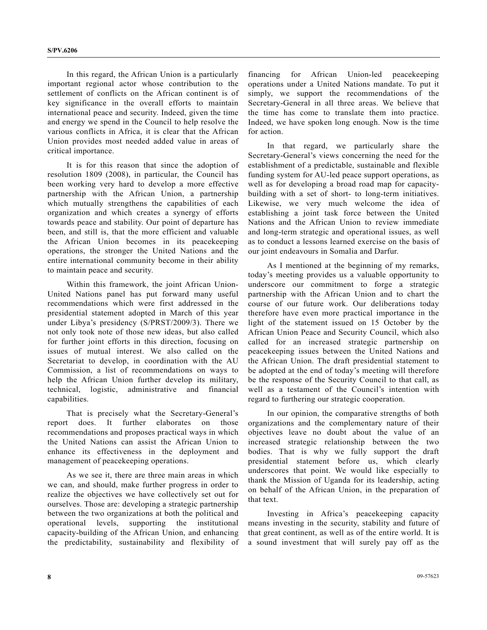In this regard, the African Union is a particularly important regional actor whose contribution to the settlement of conflicts on the African continent is of key significance in the overall efforts to maintain international peace and security. Indeed, given the time and energy we spend in the Council to help resolve the various conflicts in Africa, it is clear that the African Union provides most needed added value in areas of critical importance.

 It is for this reason that since the adoption of resolution 1809 (2008), in particular, the Council has been working very hard to develop a more effective partnership with the African Union, a partnership which mutually strengthens the capabilities of each organization and which creates a synergy of efforts towards peace and stability. Our point of departure has been, and still is, that the more efficient and valuable the African Union becomes in its peacekeeping operations, the stronger the United Nations and the entire international community become in their ability to maintain peace and security.

 Within this framework, the joint African Union-United Nations panel has put forward many useful recommendations which were first addressed in the presidential statement adopted in March of this year under Libya's presidency (S/PRST/2009/3). There we not only took note of those new ideas, but also called for further joint efforts in this direction, focusing on issues of mutual interest. We also called on the Secretariat to develop, in coordination with the AU Commission, a list of recommendations on ways to help the African Union further develop its military, technical, logistic, administrative and financial capabilities.

 That is precisely what the Secretary-General's report does. It further elaborates on those recommendations and proposes practical ways in which the United Nations can assist the African Union to enhance its effectiveness in the deployment and management of peacekeeping operations.

 As we see it, there are three main areas in which we can, and should, make further progress in order to realize the objectives we have collectively set out for ourselves. Those are: developing a strategic partnership between the two organizations at both the political and operational levels, supporting the institutional capacity-building of the African Union, and enhancing the predictability, sustainability and flexibility of financing for African Union-led peacekeeping operations under a United Nations mandate. To put it simply, we support the recommendations of the Secretary-General in all three areas. We believe that the time has come to translate them into practice. Indeed, we have spoken long enough. Now is the time for action.

 In that regard, we particularly share the Secretary-General's views concerning the need for the establishment of a predictable, sustainable and flexible funding system for AU-led peace support operations, as well as for developing a broad road map for capacitybuilding with a set of short- to long-term initiatives. Likewise, we very much welcome the idea of establishing a joint task force between the United Nations and the African Union to review immediate and long-term strategic and operational issues, as well as to conduct a lessons learned exercise on the basis of our joint endeavours in Somalia and Darfur.

 As I mentioned at the beginning of my remarks, today's meeting provides us a valuable opportunity to underscore our commitment to forge a strategic partnership with the African Union and to chart the course of our future work. Our deliberations today therefore have even more practical importance in the light of the statement issued on 15 October by the African Union Peace and Security Council, which also called for an increased strategic partnership on peacekeeping issues between the United Nations and the African Union. The draft presidential statement to be adopted at the end of today's meeting will therefore be the response of the Security Council to that call, as well as a testament of the Council's intention with regard to furthering our strategic cooperation.

 In our opinion, the comparative strengths of both organizations and the complementary nature of their objectives leave no doubt about the value of an increased strategic relationship between the two bodies. That is why we fully support the draft presidential statement before us, which clearly underscores that point. We would like especially to thank the Mission of Uganda for its leadership, acting on behalf of the African Union, in the preparation of that text.

 Investing in Africa's peacekeeping capacity means investing in the security, stability and future of that great continent, as well as of the entire world. It is a sound investment that will surely pay off as the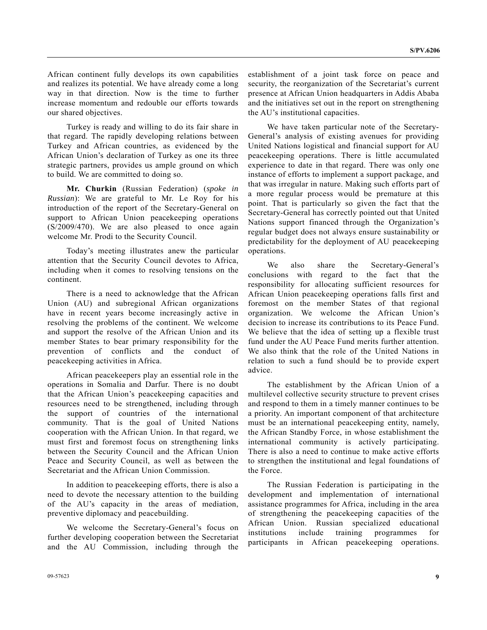African continent fully develops its own capabilities and realizes its potential. We have already come a long way in that direction. Now is the time to further increase momentum and redouble our efforts towards our shared objectives.

 Turkey is ready and willing to do its fair share in that regard. The rapidly developing relations between Turkey and African countries, as evidenced by the African Union's declaration of Turkey as one its three strategic partners, provides us ample ground on which to build. We are committed to doing so.

**Mr. Churkin** (Russian Federation) (*spoke in Russian*): We are grateful to Mr. Le Roy for his introduction of the report of the Secretary-General on support to African Union peacekeeping operations (S/2009/470). We are also pleased to once again welcome Mr. Prodi to the Security Council.

 Today's meeting illustrates anew the particular attention that the Security Council devotes to Africa, including when it comes to resolving tensions on the continent.

 There is a need to acknowledge that the African Union (AU) and subregional African organizations have in recent years become increasingly active in resolving the problems of the continent. We welcome and support the resolve of the African Union and its member States to bear primary responsibility for the prevention of conflicts and the conduct of peacekeeping activities in Africa.

 African peacekeepers play an essential role in the operations in Somalia and Darfur. There is no doubt that the African Union's peacekeeping capacities and resources need to be strengthened, including through the support of countries of the international community. That is the goal of United Nations cooperation with the African Union. In that regard, we must first and foremost focus on strengthening links between the Security Council and the African Union Peace and Security Council, as well as between the Secretariat and the African Union Commission.

 In addition to peacekeeping efforts, there is also a need to devote the necessary attention to the building of the AU's capacity in the areas of mediation, preventive diplomacy and peacebuilding.

 We welcome the Secretary-General's focus on further developing cooperation between the Secretariat and the AU Commission, including through the

establishment of a joint task force on peace and security, the reorganization of the Secretariat's current presence at African Union headquarters in Addis Ababa and the initiatives set out in the report on strengthening the AU's institutional capacities.

 We have taken particular note of the Secretary-General's analysis of existing avenues for providing United Nations logistical and financial support for AU peacekeeping operations. There is little accumulated experience to date in that regard. There was only one instance of efforts to implement a support package, and that was irregular in nature. Making such efforts part of a more regular process would be premature at this point. That is particularly so given the fact that the Secretary-General has correctly pointed out that United Nations support financed through the Organization's regular budget does not always ensure sustainability or predictability for the deployment of AU peacekeeping operations.

 We also share the Secretary-General's conclusions with regard to the fact that the responsibility for allocating sufficient resources for African Union peacekeeping operations falls first and foremost on the member States of that regional organization. We welcome the African Union's decision to increase its contributions to its Peace Fund. We believe that the idea of setting up a flexible trust fund under the AU Peace Fund merits further attention. We also think that the role of the United Nations in relation to such a fund should be to provide expert advice.

 The establishment by the African Union of a multilevel collective security structure to prevent crises and respond to them in a timely manner continues to be a priority. An important component of that architecture must be an international peacekeeping entity, namely, the African Standby Force, in whose establishment the international community is actively participating. There is also a need to continue to make active efforts to strengthen the institutional and legal foundations of the Force.

 The Russian Federation is participating in the development and implementation of international assistance programmes for Africa, including in the area of strengthening the peacekeeping capacities of the African Union. Russian specialized educational institutions include training programmes for participants in African peacekeeping operations.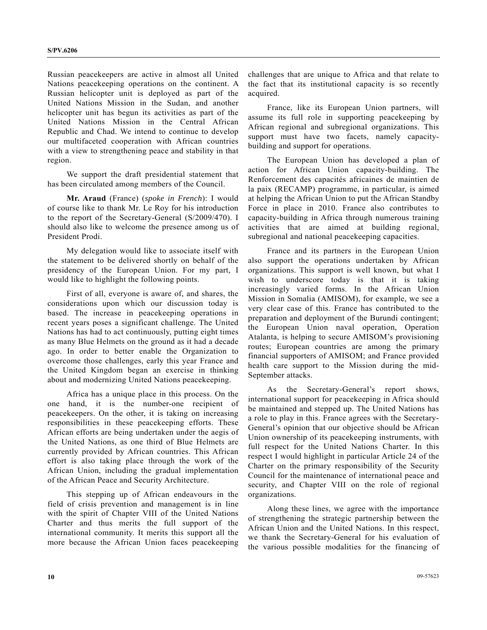Russian peacekeepers are active in almost all United Nations peacekeeping operations on the continent. A Russian helicopter unit is deployed as part of the United Nations Mission in the Sudan, and another helicopter unit has begun its activities as part of the United Nations Mission in the Central African Republic and Chad. We intend to continue to develop our multifaceted cooperation with African countries with a view to strengthening peace and stability in that region.

 We support the draft presidential statement that has been circulated among members of the Council.

**Mr. Araud** (France) (*spoke in French*): I would of course like to thank Mr. Le Roy for his introduction to the report of the Secretary-General (S/2009/470). I should also like to welcome the presence among us of President Prodi.

 My delegation would like to associate itself with the statement to be delivered shortly on behalf of the presidency of the European Union. For my part, I would like to highlight the following points.

 First of all, everyone is aware of, and shares, the considerations upon which our discussion today is based. The increase in peacekeeping operations in recent years poses a significant challenge. The United Nations has had to act continuously, putting eight times as many Blue Helmets on the ground as it had a decade ago. In order to better enable the Organization to overcome those challenges, early this year France and the United Kingdom began an exercise in thinking about and modernizing United Nations peacekeeping.

 Africa has a unique place in this process. On the one hand, it is the number-one recipient of peacekeepers. On the other, it is taking on increasing responsibilities in these peacekeeping efforts. These African efforts are being undertaken under the aegis of the United Nations, as one third of Blue Helmets are currently provided by African countries. This African effort is also taking place through the work of the African Union, including the gradual implementation of the African Peace and Security Architecture.

 This stepping up of African endeavours in the field of crisis prevention and management is in line with the spirit of Chapter VIII of the United Nations Charter and thus merits the full support of the international community. It merits this support all the more because the African Union faces peacekeeping challenges that are unique to Africa and that relate to the fact that its institutional capacity is so recently acquired.

 France, like its European Union partners, will assume its full role in supporting peacekeeping by African regional and subregional organizations. This support must have two facets, namely capacitybuilding and support for operations.

 The European Union has developed a plan of action for African Union capacity-building. The Renforcement des capacités africaines de maintien de la paix (RECAMP) programme, in particular, is aimed at helping the African Union to put the African Standby Force in place in 2010. France also contributes to capacity-building in Africa through numerous training activities that are aimed at building regional, subregional and national peacekeeping capacities.

 France and its partners in the European Union also support the operations undertaken by African organizations. This support is well known, but what I wish to underscore today is that it is taking increasingly varied forms. In the African Union Mission in Somalia (AMISOM), for example, we see a very clear case of this. France has contributed to the preparation and deployment of the Burundi contingent; the European Union naval operation, Operation Atalanta, is helping to secure AMISOM's provisioning routes; European countries are among the primary financial supporters of AMISOM; and France provided health care support to the Mission during the mid-September attacks.

 As the Secretary-General's report shows, international support for peacekeeping in Africa should be maintained and stepped up. The United Nations has a role to play in this. France agrees with the Secretary-General's opinion that our objective should be African Union ownership of its peacekeeping instruments, with full respect for the United Nations Charter. In this respect I would highlight in particular Article 24 of the Charter on the primary responsibility of the Security Council for the maintenance of international peace and security, and Chapter VIII on the role of regional organizations.

 Along these lines, we agree with the importance of strengthening the strategic partnership between the African Union and the United Nations. In this respect, we thank the Secretary-General for his evaluation of the various possible modalities for the financing of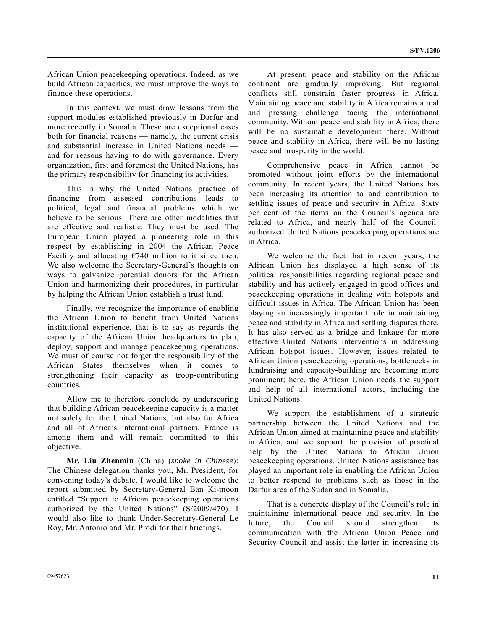African Union peacekeeping operations. Indeed, as we build African capacities, we must improve the ways to finance these operations.

 In this context, we must draw lessons from the support modules established previously in Darfur and more recently in Somalia. These are exceptional cases both for financial reasons — namely, the current crisis and substantial increase in United Nations needs and for reasons having to do with governance. Every organization, first and foremost the United Nations, has the primary responsibility for financing its activities.

 This is why the United Nations practice of financing from assessed contributions leads to political, legal and financial problems which we believe to be serious. There are other modalities that are effective and realistic. They must be used. The European Union played a pioneering role in this respect by establishing in 2004 the African Peace Facility and allocating  $\epsilon$ 740 million to it since then. We also welcome the Secretary-General's thoughts on ways to galvanize potential donors for the African Union and harmonizing their procedures, in particular by helping the African Union establish a trust fund.

 Finally, we recognize the importance of enabling the African Union to benefit from United Nations institutional experience, that is to say as regards the capacity of the African Union headquarters to plan, deploy, support and manage peacekeeping operations. We must of course not forget the responsibility of the African States themselves when it comes to strengthening their capacity as troop-contributing countries.

 Allow me to therefore conclude by underscoring that building African peacekeeping capacity is a matter not solely for the United Nations, but also for Africa and all of Africa's international partners. France is among them and will remain committed to this objective.

**Mr. Liu Zhenmin** (China) (*spoke in Chinese*): The Chinese delegation thanks you, Mr. President, for convening today's debate. I would like to welcome the report submitted by Secretary-General Ban Ki-moon entitled "Support to African peacekeeping operations authorized by the United Nations" (S/2009/470). I would also like to thank Under-Secretary-General Le Roy, Mr. Antonio and Mr. Prodi for their briefings.

 At present, peace and stability on the African continent are gradually improving. But regional conflicts still constrain faster progress in Africa. Maintaining peace and stability in Africa remains a real and pressing challenge facing the international community. Without peace and stability in Africa, there will be no sustainable development there. Without peace and stability in Africa, there will be no lasting peace and prosperity in the world.

 Comprehensive peace in Africa cannot be promoted without joint efforts by the international community. In recent years, the United Nations has been increasing its attention to and contribution to settling issues of peace and security in Africa. Sixty per cent of the items on the Council's agenda are related to Africa, and nearly half of the Councilauthorized United Nations peacekeeping operations are in Africa.

 We welcome the fact that in recent years, the African Union has displayed a high sense of its political responsibilities regarding regional peace and stability and has actively engaged in good offices and peacekeeping operations in dealing with hotspots and difficult issues in Africa. The African Union has been playing an increasingly important role in maintaining peace and stability in Africa and settling disputes there. It has also served as a bridge and linkage for more effective United Nations interventions in addressing African hotspot issues. However, issues related to African Union peacekeeping operations, bottlenecks in fundraising and capacity-building are becoming more prominent; here, the African Union needs the support and help of all international actors, including the United Nations.

 We support the establishment of a strategic partnership between the United Nations and the African Union aimed at maintaining peace and stability in Africa, and we support the provision of practical help by the United Nations to African Union peacekeeping operations. United Nations assistance has played an important role in enabling the African Union to better respond to problems such as those in the Darfur area of the Sudan and in Somalia.

 That is a concrete display of the Council's role in maintaining international peace and security. In the future, the Council should strengthen its communication with the African Union Peace and Security Council and assist the latter in increasing its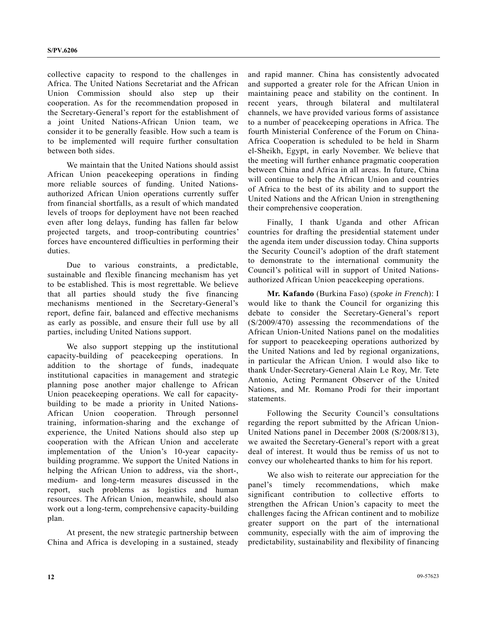collective capacity to respond to the challenges in Africa. The United Nations Secretariat and the African Union Commission should also step up their cooperation. As for the recommendation proposed in the Secretary-General's report for the establishment of a joint United Nations-African Union team, we consider it to be generally feasible. How such a team is to be implemented will require further consultation between both sides.

 We maintain that the United Nations should assist African Union peacekeeping operations in finding more reliable sources of funding. United Nationsauthorized African Union operations currently suffer from financial shortfalls, as a result of which mandated levels of troops for deployment have not been reached even after long delays, funding has fallen far below projected targets, and troop-contributing countries' forces have encountered difficulties in performing their duties.

 Due to various constraints, a predictable, sustainable and flexible financing mechanism has yet to be established. This is most regrettable. We believe that all parties should study the five financing mechanisms mentioned in the Secretary-General's report, define fair, balanced and effective mechanisms as early as possible, and ensure their full use by all parties, including United Nations support.

 We also support stepping up the institutional capacity-building of peacekeeping operations. In addition to the shortage of funds, inadequate institutional capacities in management and strategic planning pose another major challenge to African Union peacekeeping operations. We call for capacitybuilding to be made a priority in United Nations-African Union cooperation. Through personnel training, information-sharing and the exchange of experience, the United Nations should also step up cooperation with the African Union and accelerate implementation of the Union's 10-year capacitybuilding programme. We support the United Nations in helping the African Union to address, via the short-, medium- and long-term measures discussed in the report, such problems as logistics and human resources. The African Union, meanwhile, should also work out a long-term, comprehensive capacity-building plan.

 At present, the new strategic partnership between China and Africa is developing in a sustained, steady and rapid manner. China has consistently advocated and supported a greater role for the African Union in maintaining peace and stability on the continent. In recent years, through bilateral and multilateral channels, we have provided various forms of assistance to a number of peacekeeping operations in Africa. The fourth Ministerial Conference of the Forum on China-Africa Cooperation is scheduled to be held in Sharm el-Sheikh, Egypt, in early November. We believe that the meeting will further enhance pragmatic cooperation between China and Africa in all areas. In future, China will continue to help the African Union and countries of Africa to the best of its ability and to support the United Nations and the African Union in strengthening their comprehensive cooperation.

 Finally, I thank Uganda and other African countries for drafting the presidential statement under the agenda item under discussion today. China supports the Security Council's adoption of the draft statement to demonstrate to the international community the Council's political will in support of United Nationsauthorized African Union peacekeeping operations.

 **Mr. Kafando** (Burkina Faso) (*spoke in French*): I would like to thank the Council for organizing this debate to consider the Secretary-General's report (S/2009/470) assessing the recommendations of the African Union-United Nations panel on the modalities for support to peacekeeping operations authorized by the United Nations and led by regional organizations, in particular the African Union. I would also like to thank Under-Secretary-General Alain Le Roy, Mr. Tete Antonio, Acting Permanent Observer of the United Nations, and Mr. Romano Prodi for their important statements.

 Following the Security Council's consultations regarding the report submitted by the African Union-United Nations panel in December 2008 (S/2008/813), we awaited the Secretary-General's report with a great deal of interest. It would thus be remiss of us not to convey our wholehearted thanks to him for his report.

 We also wish to reiterate our appreciation for the panel's timely recommendations, which make significant contribution to collective efforts to strengthen the African Union's capacity to meet the challenges facing the African continent and to mobilize greater support on the part of the international community, especially with the aim of improving the predictability, sustainability and flexibility of financing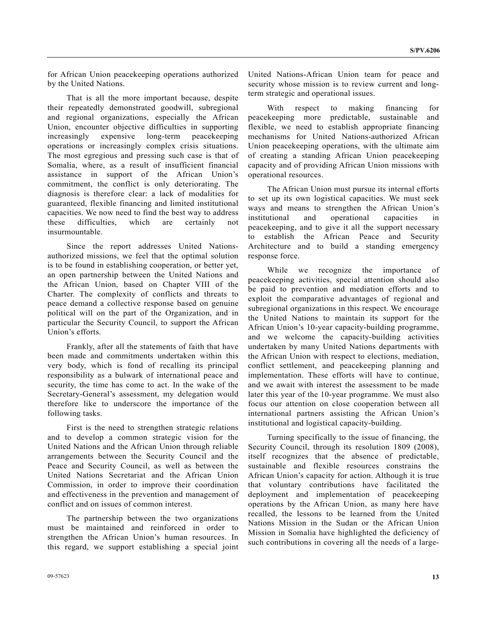for African Union peacekeeping operations authorized by the United Nations.

 That is all the more important because, despite their repeatedly demonstrated goodwill, subregional and regional organizations, especially the African Union, encounter objective difficulties in supporting increasingly expensive long-term peacekeeping operations or increasingly complex crisis situations. The most egregious and pressing such case is that of Somalia, where, as a result of insufficient financial assistance in support of the African Union's commitment, the conflict is only deteriorating. The diagnosis is therefore clear: a lack of modalities for guaranteed, flexible financing and limited institutional capacities. We now need to find the best way to address these difficulties, which are certainly not insurmountable.

 Since the report addresses United Nationsauthorized missions, we feel that the optimal solution is to be found in establishing cooperation, or better yet, an open partnership between the United Nations and the African Union, based on Chapter VIII of the Charter. The complexity of conflicts and threats to peace demand a collective response based on genuine political will on the part of the Organization, and in particular the Security Council, to support the African Union's efforts.

 Frankly, after all the statements of faith that have been made and commitments undertaken within this very body, which is fond of recalling its principal responsibility as a bulwark of international peace and security, the time has come to act. In the wake of the Secretary-General's assessment, my delegation would therefore like to underscore the importance of the following tasks.

 First is the need to strengthen strategic relations and to develop a common strategic vision for the United Nations and the African Union through reliable arrangements between the Security Council and the Peace and Security Council, as well as between the United Nations Secretariat and the African Union Commission, in order to improve their coordination and effectiveness in the prevention and management of conflict and on issues of common interest.

 The partnership between the two organizations must be maintained and reinforced in order to strengthen the African Union's human resources. In this regard, we support establishing a special joint United Nations-African Union team for peace and security whose mission is to review current and longterm strategic and operational issues.

 With respect to making financing for peacekeeping more predictable, sustainable and flexible, we need to establish appropriate financing mechanisms for United Nations-authorized African Union peacekeeping operations, with the ultimate aim of creating a standing African Union peacekeeping capacity and of providing African Union missions with operational resources.

 The African Union must pursue its internal efforts to set up its own logistical capacities. We must seek ways and means to strengthen the African Union's institutional and operational capacities in peacekeeping, and to give it all the support necessary to establish the African Peace and Security Architecture and to build a standing emergency response force.

While we recognize the importance of peacekeeping activities, special attention should also be paid to prevention and mediation efforts and to exploit the comparative advantages of regional and subregional organizations in this respect. We encourage the United Nations to maintain its support for the African Union's 10-year capacity-building programme, and we welcome the capacity-building activities undertaken by many United Nations departments with the African Union with respect to elections, mediation, conflict settlement, and peacekeeping planning and implementation. These efforts will have to continue, and we await with interest the assessment to be made later this year of the 10-year programme. We must also focus our attention on close cooperation between all international partners assisting the African Union's institutional and logistical capacity-building.

 Turning specifically to the issue of financing, the Security Council, through its resolution 1809 (2008), itself recognizes that the absence of predictable, sustainable and flexible resources constrains the African Union's capacity for action. Although it is true that voluntary contributions have facilitated the deployment and implementation of peacekeeping operations by the African Union, as many here have recalled, the lessons to be learned from the United Nations Mission in the Sudan or the African Union Mission in Somalia have highlighted the deficiency of such contributions in covering all the needs of a large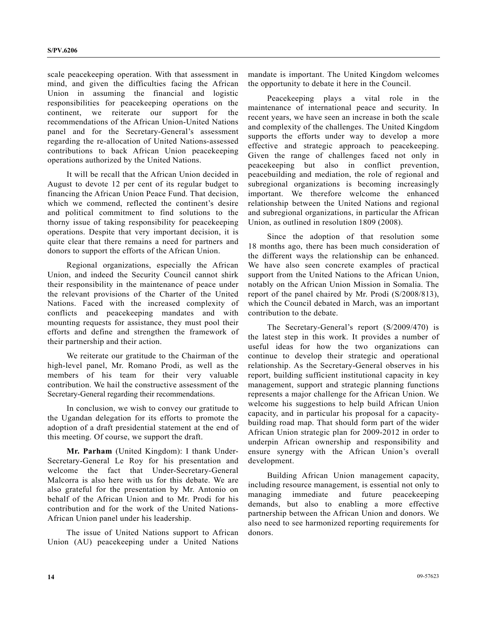scale peacekeeping operation. With that assessment in mind, and given the difficulties facing the African Union in assuming the financial and logistic responsibilities for peacekeeping operations on the continent, we reiterate our support for the recommendations of the African Union-United Nations panel and for the Secretary-General's assessment regarding the re-allocation of United Nations-assessed contributions to back African Union peacekeeping operations authorized by the United Nations.

 It will be recall that the African Union decided in August to devote 12 per cent of its regular budget to financing the African Union Peace Fund. That decision, which we commend, reflected the continent's desire and political commitment to find solutions to the thorny issue of taking responsibility for peacekeeping operations. Despite that very important decision, it is quite clear that there remains a need for partners and donors to support the efforts of the African Union.

 Regional organizations, especially the African Union, and indeed the Security Council cannot shirk their responsibility in the maintenance of peace under the relevant provisions of the Charter of the United Nations. Faced with the increased complexity of conflicts and peacekeeping mandates and with mounting requests for assistance, they must pool their efforts and define and strengthen the framework of their partnership and their action.

 We reiterate our gratitude to the Chairman of the high-level panel, Mr. Romano Prodi, as well as the members of his team for their very valuable contribution. We hail the constructive assessment of the Secretary-General regarding their recommendations.

 In conclusion, we wish to convey our gratitude to the Ugandan delegation for its efforts to promote the adoption of a draft presidential statement at the end of this meeting. Of course, we support the draft.

**Mr. Parham** (United Kingdom): I thank Under-Secretary-General Le Roy for his presentation and welcome the fact that Under-Secretary-General Malcorra is also here with us for this debate. We are also grateful for the presentation by Mr. Antonio on behalf of the African Union and to Mr. Prodi for his contribution and for the work of the United Nations-African Union panel under his leadership.

 The issue of United Nations support to African Union (AU) peacekeeping under a United Nations mandate is important. The United Kingdom welcomes the opportunity to debate it here in the Council.

 Peacekeeping plays a vital role in the maintenance of international peace and security. In recent years, we have seen an increase in both the scale and complexity of the challenges. The United Kingdom supports the efforts under way to develop a more effective and strategic approach to peacekeeping. Given the range of challenges faced not only in peacekeeping but also in conflict prevention, peacebuilding and mediation, the role of regional and subregional organizations is becoming increasingly important. We therefore welcome the enhanced relationship between the United Nations and regional and subregional organizations, in particular the African Union, as outlined in resolution 1809 (2008).

 Since the adoption of that resolution some 18 months ago, there has been much consideration of the different ways the relationship can be enhanced. We have also seen concrete examples of practical support from the United Nations to the African Union, notably on the African Union Mission in Somalia. The report of the panel chaired by Mr. Prodi (S/2008/813), which the Council debated in March, was an important contribution to the debate.

 The Secretary-General's report (S/2009/470) is the latest step in this work. It provides a number of useful ideas for how the two organizations can continue to develop their strategic and operational relationship. As the Secretary-General observes in his report, building sufficient institutional capacity in key management, support and strategic planning functions represents a major challenge for the African Union. We welcome his suggestions to help build African Union capacity, and in particular his proposal for a capacitybuilding road map. That should form part of the wider African Union strategic plan for 2009-2012 in order to underpin African ownership and responsibility and ensure synergy with the African Union's overall development.

 Building African Union management capacity, including resource management, is essential not only to managing immediate and future peacekeeping demands, but also to enabling a more effective partnership between the African Union and donors. We also need to see harmonized reporting requirements for donors.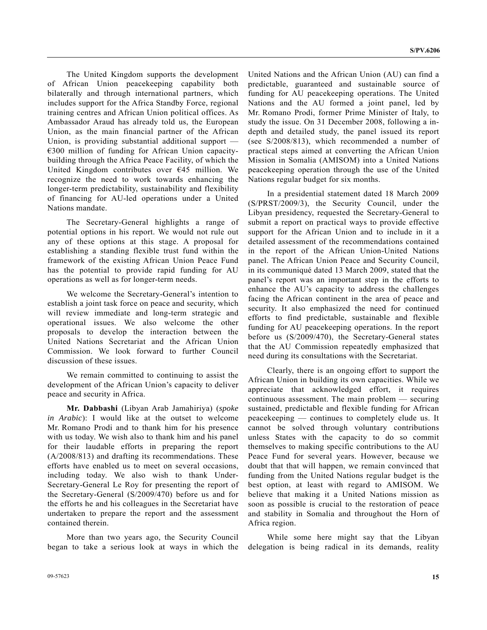The United Kingdom supports the development of African Union peacekeeping capability both bilaterally and through international partners, which includes support for the Africa Standby Force, regional training centres and African Union political offices. As Ambassador Araud has already told us, the European Union, as the main financial partner of the African Union, is providing substantial additional support — €300 million of funding for African Union capacitybuilding through the Africa Peace Facility, of which the United Kingdom contributes over  $\epsilon$ 45 million. We recognize the need to work towards enhancing the longer-term predictability, sustainability and flexibility of financing for AU-led operations under a United Nations mandate.

 The Secretary-General highlights a range of potential options in his report. We would not rule out any of these options at this stage. A proposal for establishing a standing flexible trust fund within the framework of the existing African Union Peace Fund has the potential to provide rapid funding for AU operations as well as for longer-term needs.

 We welcome the Secretary-General's intention to establish a joint task force on peace and security, which will review immediate and long-term strategic and operational issues. We also welcome the other proposals to develop the interaction between the United Nations Secretariat and the African Union Commission. We look forward to further Council discussion of these issues.

 We remain committed to continuing to assist the development of the African Union's capacity to deliver peace and security in Africa.

**Mr. Dabbashi** (Libyan Arab Jamahiriya) (*spoke in Arabic*): I would like at the outset to welcome Mr. Romano Prodi and to thank him for his presence with us today. We wish also to thank him and his panel for their laudable efforts in preparing the report (A/2008/813) and drafting its recommendations. These efforts have enabled us to meet on several occasions, including today. We also wish to thank Under-Secretary-General Le Roy for presenting the report of the Secretary-General (S/2009/470) before us and for the efforts he and his colleagues in the Secretariat have undertaken to prepare the report and the assessment contained therein.

 More than two years ago, the Security Council began to take a serious look at ways in which the United Nations and the African Union (AU) can find a predictable, guaranteed and sustainable source of funding for AU peacekeeping operations. The United Nations and the AU formed a joint panel, led by Mr. Romano Prodi, former Prime Minister of Italy, to study the issue. On 31 December 2008, following a indepth and detailed study, the panel issued its report (see S/2008/813), which recommended a number of practical steps aimed at converting the African Union Mission in Somalia (AMISOM) into a United Nations peacekeeping operation through the use of the United Nations regular budget for six months.

 In a presidential statement dated 18 March 2009 (S/PRST/2009/3), the Security Council, under the Libyan presidency, requested the Secretary-General to submit a report on practical ways to provide effective support for the African Union and to include in it a detailed assessment of the recommendations contained in the report of the African Union-United Nations panel. The African Union Peace and Security Council, in its communiqué dated 13 March 2009, stated that the panel's report was an important step in the efforts to enhance the AU's capacity to address the challenges facing the African continent in the area of peace and security. It also emphasized the need for continued efforts to find predictable, sustainable and flexible funding for AU peacekeeping operations. In the report before us (S/2009/470), the Secretary-General states that the AU Commission repeatedly emphasized that need during its consultations with the Secretariat.

 Clearly, there is an ongoing effort to support the African Union in building its own capacities. While we appreciate that acknowledged effort, it requires continuous assessment. The main problem — securing sustained, predictable and flexible funding for African peacekeeping — continues to completely elude us. It cannot be solved through voluntary contributions unless States with the capacity to do so commit themselves to making specific contributions to the AU Peace Fund for several years. However, because we doubt that that will happen, we remain convinced that funding from the United Nations regular budget is the best option, at least with regard to AMISOM. We believe that making it a United Nations mission as soon as possible is crucial to the restoration of peace and stability in Somalia and throughout the Horn of Africa region.

 While some here might say that the Libyan delegation is being radical in its demands, reality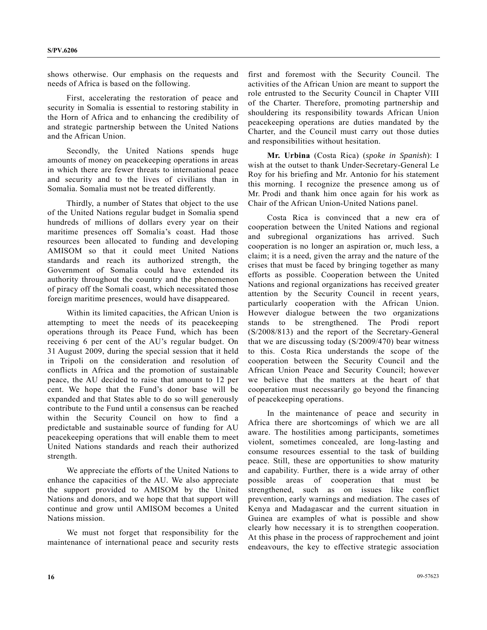shows otherwise. Our emphasis on the requests and needs of Africa is based on the following.

 First, accelerating the restoration of peace and security in Somalia is essential to restoring stability in the Horn of Africa and to enhancing the credibility of and strategic partnership between the United Nations and the African Union.

 Secondly, the United Nations spends huge amounts of money on peacekeeping operations in areas in which there are fewer threats to international peace and security and to the lives of civilians than in Somalia. Somalia must not be treated differently.

 Thirdly, a number of States that object to the use of the United Nations regular budget in Somalia spend hundreds of millions of dollars every year on their maritime presences off Somalia's coast. Had those resources been allocated to funding and developing AMISOM so that it could meet United Nations standards and reach its authorized strength, the Government of Somalia could have extended its authority throughout the country and the phenomenon of piracy off the Somali coast, which necessitated those foreign maritime presences, would have disappeared.

 Within its limited capacities, the African Union is attempting to meet the needs of its peacekeeping operations through its Peace Fund, which has been receiving 6 per cent of the AU's regular budget. On 31 August 2009, during the special session that it held in Tripoli on the consideration and resolution of conflicts in Africa and the promotion of sustainable peace, the AU decided to raise that amount to 12 per cent. We hope that the Fund's donor base will be expanded and that States able to do so will generously contribute to the Fund until a consensus can be reached within the Security Council on how to find a predictable and sustainable source of funding for AU peacekeeping operations that will enable them to meet United Nations standards and reach their authorized strength.

 We appreciate the efforts of the United Nations to enhance the capacities of the AU. We also appreciate the support provided to AMISOM by the United Nations and donors, and we hope that that support will continue and grow until AMISOM becomes a United Nations mission.

 We must not forget that responsibility for the maintenance of international peace and security rests first and foremost with the Security Council. The activities of the African Union are meant to support the role entrusted to the Security Council in Chapter VIII of the Charter. Therefore, promoting partnership and shouldering its responsibility towards African Union peacekeeping operations are duties mandated by the Charter, and the Council must carry out those duties and responsibilities without hesitation.

**Mr. Urbina** (Costa Rica) (*spoke in Spanish*): I wish at the outset to thank Under-Secretary-General Le Roy for his briefing and Mr. Antonio for his statement this morning. I recognize the presence among us of Mr. Prodi and thank him once again for his work as Chair of the African Union-United Nations panel.

 Costa Rica is convinced that a new era of cooperation between the United Nations and regional and subregional organizations has arrived. Such cooperation is no longer an aspiration or, much less, a claim; it is a need, given the array and the nature of the crises that must be faced by bringing together as many efforts as possible. Cooperation between the United Nations and regional organizations has received greater attention by the Security Council in recent years, particularly cooperation with the African Union. However dialogue between the two organizations stands to be strengthened. The Prodi report (S/2008/813) and the report of the Secretary-General that we are discussing today (S/2009/470) bear witness to this. Costa Rica understands the scope of the cooperation between the Security Council and the African Union Peace and Security Council; however we believe that the matters at the heart of that cooperation must necessarily go beyond the financing of peacekeeping operations.

 In the maintenance of peace and security in Africa there are shortcomings of which we are all aware. The hostilities among participants, sometimes violent, sometimes concealed, are long-lasting and consume resources essential to the task of building peace. Still, these are opportunities to show maturity and capability. Further, there is a wide array of other possible areas of cooperation that must be strengthened, such as on issues like conflict prevention, early warnings and mediation. The cases of Kenya and Madagascar and the current situation in Guinea are examples of what is possible and show clearly how necessary it is to strengthen cooperation. At this phase in the process of rapprochement and joint endeavours, the key to effective strategic association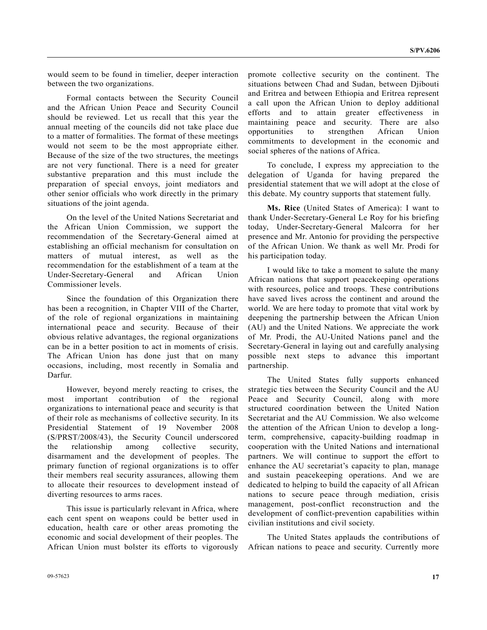would seem to be found in timelier, deeper interaction between the two organizations.

 Formal contacts between the Security Council and the African Union Peace and Security Council should be reviewed. Let us recall that this year the annual meeting of the councils did not take place due to a matter of formalities. The format of these meetings would not seem to be the most appropriate either. Because of the size of the two structures, the meetings are not very functional. There is a need for greater substantive preparation and this must include the preparation of special envoys, joint mediators and other senior officials who work directly in the primary situations of the joint agenda.

 On the level of the United Nations Secretariat and the African Union Commission, we support the recommendation of the Secretary-General aimed at establishing an official mechanism for consultation on matters of mutual interest, as well as the recommendation for the establishment of a team at the Under-Secretary-General and African Union Commissioner levels.

 Since the foundation of this Organization there has been a recognition, in Chapter VIII of the Charter, of the role of regional organizations in maintaining international peace and security. Because of their obvious relative advantages, the regional organizations can be in a better position to act in moments of crisis. The African Union has done just that on many occasions, including, most recently in Somalia and Darfur.

 However, beyond merely reacting to crises, the most important contribution of the regional organizations to international peace and security is that of their role as mechanisms of collective security. In its Presidential Statement of 19 November 2008 (S/PRST/2008/43), the Security Council underscored the relationship among collective security, disarmament and the development of peoples. The primary function of regional organizations is to offer their members real security assurances, allowing them to allocate their resources to development instead of diverting resources to arms races.

 This issue is particularly relevant in Africa, where each cent spent on weapons could be better used in education, health care or other areas promoting the economic and social development of their peoples. The African Union must bolster its efforts to vigorously

 To conclude, I express my appreciation to the delegation of Uganda for having prepared the presidential statement that we will adopt at the close of this debate. My country supports that statement fully.  **Ms. Rice** (United States of America): I want to thank Under-Secretary-General Le Roy for his briefing today, Under-Secretary-General Malcorra for her

his participation today.

social spheres of the nations of Africa.

 I would like to take a moment to salute the many African nations that support peacekeeping operations with resources, police and troops. These contributions have saved lives across the continent and around the world. We are here today to promote that vital work by deepening the partnership between the African Union (AU) and the United Nations. We appreciate the work of Mr. Prodi, the AU-United Nations panel and the Secretary-General in laying out and carefully analysing possible next steps to advance this important partnership.

presence and Mr. Antonio for providing the perspective of the African Union. We thank as well Mr. Prodi for

promote collective security on the continent. The situations between Chad and Sudan, between Djibouti and Eritrea and between Ethiopia and Eritrea represent a call upon the African Union to deploy additional efforts and to attain greater effectiveness in maintaining peace and security. There are also opportunities to strengthen African Union commitments to development in the economic and

 The United States fully supports enhanced strategic ties between the Security Council and the AU Peace and Security Council, along with more structured coordination between the United Nation Secretariat and the AU Commission. We also welcome the attention of the African Union to develop a longterm, comprehensive, capacity-building roadmap in cooperation with the United Nations and international partners. We will continue to support the effort to enhance the AU secretariat's capacity to plan, manage and sustain peacekeeping operations. And we are dedicated to helping to build the capacity of all African nations to secure peace through mediation, crisis management, post-conflict reconstruction and the development of conflict-prevention capabilities within civilian institutions and civil society.

 The United States applauds the contributions of African nations to peace and security. Currently more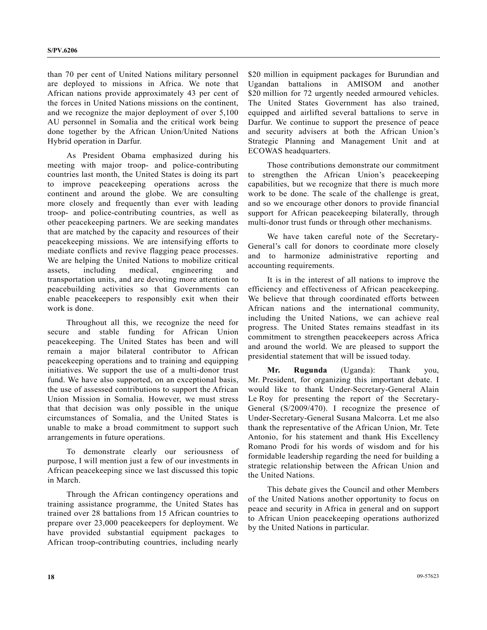than 70 per cent of United Nations military personnel are deployed to missions in Africa. We note that African nations provide approximately 43 per cent of the forces in United Nations missions on the continent, and we recognize the major deployment of over 5,100 AU personnel in Somalia and the critical work being done together by the African Union/United Nations Hybrid operation in Darfur.

 As President Obama emphasized during his meeting with major troop- and police-contributing countries last month, the United States is doing its part to improve peacekeeping operations across the continent and around the globe. We are consulting more closely and frequently than ever with leading troop- and police-contributing countries, as well as other peacekeeping partners. We are seeking mandates that are matched by the capacity and resources of their peacekeeping missions. We are intensifying efforts to mediate conflicts and revive flagging peace processes. We are helping the United Nations to mobilize critical assets, including medical, engineering and transportation units, and are devoting more attention to peacebuilding activities so that Governments can enable peacekeepers to responsibly exit when their work is done.

 Throughout all this, we recognize the need for secure and stable funding for African Union peacekeeping. The United States has been and will remain a major bilateral contributor to African peacekeeping operations and to training and equipping initiatives. We support the use of a multi-donor trust fund. We have also supported, on an exceptional basis, the use of assessed contributions to support the African Union Mission in Somalia. However, we must stress that that decision was only possible in the unique circumstances of Somalia, and the United States is unable to make a broad commitment to support such arrangements in future operations.

 To demonstrate clearly our seriousness of purpose, I will mention just a few of our investments in African peacekeeping since we last discussed this topic in March.

 Through the African contingency operations and training assistance programme, the United States has trained over 28 battalions from 15 African countries to prepare over 23,000 peacekeepers for deployment. We have provided substantial equipment packages to African troop-contributing countries, including nearly \$20 million in equipment packages for Burundian and Ugandan battalions in AMISOM and another \$20 million for 72 urgently needed armoured vehicles. The United States Government has also trained, equipped and airlifted several battalions to serve in Darfur. We continue to support the presence of peace and security advisers at both the African Union's Strategic Planning and Management Unit and at ECOWAS headquarters.

 Those contributions demonstrate our commitment to strengthen the African Union's peacekeeping capabilities, but we recognize that there is much more work to be done. The scale of the challenge is great, and so we encourage other donors to provide financial support for African peacekeeping bilaterally, through multi-donor trust funds or through other mechanisms.

 We have taken careful note of the Secretary-General's call for donors to coordinate more closely and to harmonize administrative reporting and accounting requirements.

 It is in the interest of all nations to improve the efficiency and effectiveness of African peacekeeping. We believe that through coordinated efforts between African nations and the international community, including the United Nations, we can achieve real progress. The United States remains steadfast in its commitment to strengthen peacekeepers across Africa and around the world. We are pleased to support the presidential statement that will be issued today.

**Mr. Rugunda** (Uganda): Thank you, Mr. President, for organizing this important debate. I would like to thank Under-Secretary-General Alain Le Roy for presenting the report of the Secretary-General (S/2009/470). I recognize the presence of Under-Secretary-General Susana Malcorra. Let me also thank the representative of the African Union, Mr. Tete Antonio, for his statement and thank His Excellency Romano Prodi for his words of wisdom and for his formidable leadership regarding the need for building a strategic relationship between the African Union and the United Nations.

 This debate gives the Council and other Members of the United Nations another opportunity to focus on peace and security in Africa in general and on support to African Union peacekeeping operations authorized by the United Nations in particular.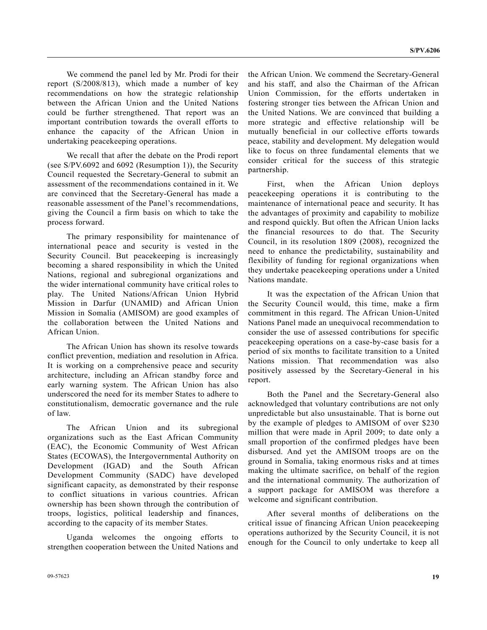We commend the panel led by Mr. Prodi for their report (S/2008/813), which made a number of key recommendations on how the strategic relationship between the African Union and the United Nations could be further strengthened. That report was an important contribution towards the overall efforts to enhance the capacity of the African Union in undertaking peacekeeping operations.

 We recall that after the debate on the Prodi report (see S/PV.6092 and 6092 (Resumption 1)), the Security Council requested the Secretary-General to submit an assessment of the recommendations contained in it. We are convinced that the Secretary-General has made a reasonable assessment of the Panel's recommendations, giving the Council a firm basis on which to take the process forward.

 The primary responsibility for maintenance of international peace and security is vested in the Security Council. But peacekeeping is increasingly becoming a shared responsibility in which the United Nations, regional and subregional organizations and the wider international community have critical roles to play. The United Nations/African Union Hybrid Mission in Darfur (UNAMID) and African Union Mission in Somalia (AMISOM) are good examples of the collaboration between the United Nations and African Union.

 The African Union has shown its resolve towards conflict prevention, mediation and resolution in Africa. It is working on a comprehensive peace and security architecture, including an African standby force and early warning system. The African Union has also underscored the need for its member States to adhere to constitutionalism, democratic governance and the rule of law.

 The African Union and its subregional organizations such as the East African Community (EAC), the Economic Community of West African States (ECOWAS), the Intergovernmental Authority on Development (IGAD) and the South African Development Community (SADC) have developed significant capacity, as demonstrated by their response to conflict situations in various countries. African ownership has been shown through the contribution of troops, logistics, political leadership and finances, according to the capacity of its member States.

 Uganda welcomes the ongoing efforts to strengthen cooperation between the United Nations and

the African Union. We commend the Secretary-General and his staff, and also the Chairman of the African Union Commission, for the efforts undertaken in fostering stronger ties between the African Union and the United Nations. We are convinced that building a more strategic and effective relationship will be mutually beneficial in our collective efforts towards peace, stability and development. My delegation would like to focus on three fundamental elements that we consider critical for the success of this strategic partnership.

 First, when the African Union deploys peacekeeping operations it is contributing to the maintenance of international peace and security. It has the advantages of proximity and capability to mobilize and respond quickly. But often the African Union lacks the financial resources to do that. The Security Council, in its resolution 1809 (2008), recognized the need to enhance the predictability, sustainability and flexibility of funding for regional organizations when they undertake peacekeeping operations under a United Nations mandate.

 It was the expectation of the African Union that the Security Council would, this time, make a firm commitment in this regard. The African Union-United Nations Panel made an unequivocal recommendation to consider the use of assessed contributions for specific peacekeeping operations on a case-by-case basis for a period of six months to facilitate transition to a United Nations mission. That recommendation was also positively assessed by the Secretary-General in his report.

 Both the Panel and the Secretary-General also acknowledged that voluntary contributions are not only unpredictable but also unsustainable. That is borne out by the example of pledges to AMISOM of over \$230 million that were made in April 2009; to date only a small proportion of the confirmed pledges have been disbursed. And yet the AMISOM troops are on the ground in Somalia, taking enormous risks and at times making the ultimate sacrifice, on behalf of the region and the international community. The authorization of a support package for AMISOM was therefore a welcome and significant contribution.

 After several months of deliberations on the critical issue of financing African Union peacekeeping operations authorized by the Security Council, it is not enough for the Council to only undertake to keep all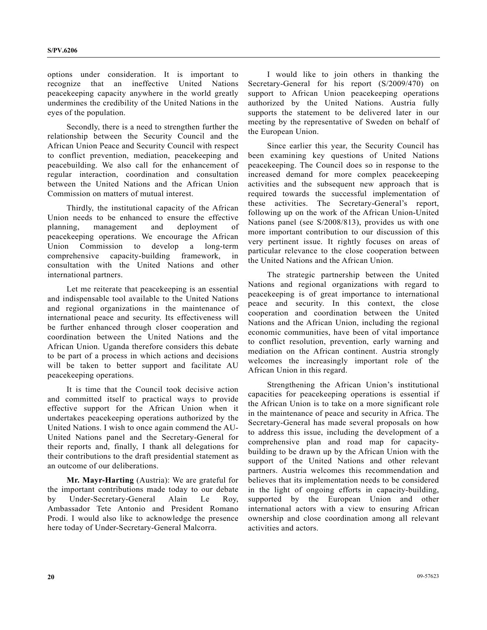options under consideration. It is important to recognize that an ineffective United Nations peacekeeping capacity anywhere in the world greatly undermines the credibility of the United Nations in the eyes of the population.

 Secondly, there is a need to strengthen further the relationship between the Security Council and the African Union Peace and Security Council with respect to conflict prevention, mediation, peacekeeping and peacebuilding. We also call for the enhancement of regular interaction, coordination and consultation between the United Nations and the African Union Commission on matters of mutual interest.

 Thirdly, the institutional capacity of the African Union needs to be enhanced to ensure the effective planning, management and deployment of peacekeeping operations. We encourage the African Union Commission to develop a long-term comprehensive capacity-building framework, in consultation with the United Nations and other international partners.

 Let me reiterate that peacekeeping is an essential and indispensable tool available to the United Nations and regional organizations in the maintenance of international peace and security. Its effectiveness will be further enhanced through closer cooperation and coordination between the United Nations and the African Union. Uganda therefore considers this debate to be part of a process in which actions and decisions will be taken to better support and facilitate AU peacekeeping operations.

 It is time that the Council took decisive action and committed itself to practical ways to provide effective support for the African Union when it undertakes peacekeeping operations authorized by the United Nations. I wish to once again commend the AU-United Nations panel and the Secretary-General for their reports and, finally, I thank all delegations for their contributions to the draft presidential statement as an outcome of our deliberations.

**Mr. Mayr-Harting** (Austria): We are grateful for the important contributions made today to our debate by Under-Secretary-General Alain Le Roy, Ambassador Tete Antonio and President Romano Prodi. I would also like to acknowledge the presence here today of Under-Secretary-General Malcorra.

 I would like to join others in thanking the Secretary-General for his report (S/2009/470) on support to African Union peacekeeping operations authorized by the United Nations. Austria fully supports the statement to be delivered later in our meeting by the representative of Sweden on behalf of the European Union.

 Since earlier this year, the Security Council has been examining key questions of United Nations peacekeeping. The Council does so in response to the increased demand for more complex peacekeeping activities and the subsequent new approach that is required towards the successful implementation of these activities. The Secretary-General's report, following up on the work of the African Union-United Nations panel (see S/2008/813), provides us with one more important contribution to our discussion of this very pertinent issue. It rightly focuses on areas of particular relevance to the close cooperation between the United Nations and the African Union.

 The strategic partnership between the United Nations and regional organizations with regard to peacekeeping is of great importance to international peace and security. In this context, the close cooperation and coordination between the United Nations and the African Union, including the regional economic communities, have been of vital importance to conflict resolution, prevention, early warning and mediation on the African continent. Austria strongly welcomes the increasingly important role of the African Union in this regard.

 Strengthening the African Union's institutional capacities for peacekeeping operations is essential if the African Union is to take on a more significant role in the maintenance of peace and security in Africa. The Secretary-General has made several proposals on how to address this issue, including the development of a comprehensive plan and road map for capacitybuilding to be drawn up by the African Union with the support of the United Nations and other relevant partners. Austria welcomes this recommendation and believes that its implementation needs to be considered in the light of ongoing efforts in capacity-building, supported by the European Union and other international actors with a view to ensuring African ownership and close coordination among all relevant activities and actors.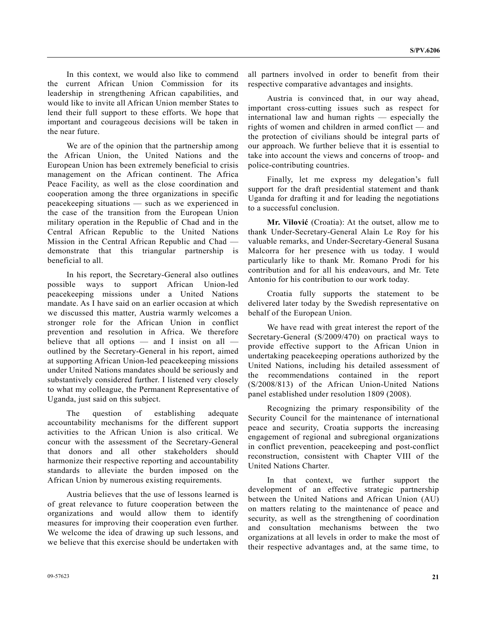In this context, we would also like to commend the current African Union Commission for its leadership in strengthening African capabilities, and would like to invite all African Union member States to lend their full support to these efforts. We hope that important and courageous decisions will be taken in the near future.

 We are of the opinion that the partnership among the African Union, the United Nations and the European Union has been extremely beneficial to crisis management on the African continent. The Africa Peace Facility, as well as the close coordination and cooperation among the three organizations in specific peacekeeping situations — such as we experienced in the case of the transition from the European Union military operation in the Republic of Chad and in the Central African Republic to the United Nations Mission in the Central African Republic and Chad demonstrate that this triangular partnership is beneficial to all.

 In his report, the Secretary-General also outlines possible ways to support African Union-led peacekeeping missions under a United Nations mandate. As I have said on an earlier occasion at which we discussed this matter, Austria warmly welcomes a stronger role for the African Union in conflict prevention and resolution in Africa. We therefore believe that all options — and I insist on all outlined by the Secretary-General in his report, aimed at supporting African Union-led peacekeeping missions under United Nations mandates should be seriously and substantively considered further. I listened very closely to what my colleague, the Permanent Representative of Uganda, just said on this subject.

 The question of establishing adequate accountability mechanisms for the different support activities to the African Union is also critical. We concur with the assessment of the Secretary-General that donors and all other stakeholders should harmonize their respective reporting and accountability standards to alleviate the burden imposed on the African Union by numerous existing requirements.

 Austria believes that the use of lessons learned is of great relevance to future cooperation between the organizations and would allow them to identify measures for improving their cooperation even further. We welcome the idea of drawing up such lessons, and we believe that this exercise should be undertaken with

all partners involved in order to benefit from their respective comparative advantages and insights.

 Austria is convinced that, in our way ahead, important cross-cutting issues such as respect for international law and human rights — especially the rights of women and children in armed conflict — and the protection of civilians should be integral parts of our approach. We further believe that it is essential to take into account the views and concerns of troop- and police-contributing countries.

 Finally, let me express my delegation's full support for the draft presidential statement and thank Uganda for drafting it and for leading the negotiations to a successful conclusion.

**Mr. Vilović** (Croatia): At the outset, allow me to thank Under-Secretary-General Alain Le Roy for his valuable remarks, and Under-Secretary-General Susana Malcorra for her presence with us today. I would particularly like to thank Mr. Romano Prodi for his contribution and for all his endeavours, and Mr. Tete Antonio for his contribution to our work today.

 Croatia fully supports the statement to be delivered later today by the Swedish representative on behalf of the European Union.

 We have read with great interest the report of the Secretary-General (S/2009/470) on practical ways to provide effective support to the African Union in undertaking peacekeeping operations authorized by the United Nations, including his detailed assessment of the recommendations contained in the report (S/2008/813) of the African Union-United Nations panel established under resolution 1809 (2008).

 Recognizing the primary responsibility of the Security Council for the maintenance of international peace and security, Croatia supports the increasing engagement of regional and subregional organizations in conflict prevention, peacekeeping and post-conflict reconstruction, consistent with Chapter VIII of the United Nations Charter.

 In that context, we further support the development of an effective strategic partnership between the United Nations and African Union (AU) on matters relating to the maintenance of peace and security, as well as the strengthening of coordination and consultation mechanisms between the two organizations at all levels in order to make the most of their respective advantages and, at the same time, to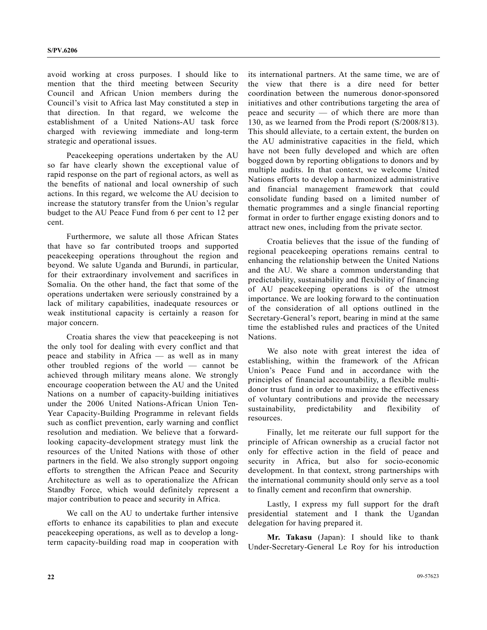avoid working at cross purposes. I should like to mention that the third meeting between Security Council and African Union members during the Council's visit to Africa last May constituted a step in that direction. In that regard, we welcome the establishment of a United Nations-AU task force charged with reviewing immediate and long-term strategic and operational issues.

 Peacekeeping operations undertaken by the AU so far have clearly shown the exceptional value of rapid response on the part of regional actors, as well as the benefits of national and local ownership of such actions. In this regard, we welcome the AU decision to increase the statutory transfer from the Union's regular budget to the AU Peace Fund from 6 per cent to 12 per cent.

 Furthermore, we salute all those African States that have so far contributed troops and supported peacekeeping operations throughout the region and beyond. We salute Uganda and Burundi, in particular, for their extraordinary involvement and sacrifices in Somalia. On the other hand, the fact that some of the operations undertaken were seriously constrained by a lack of military capabilities, inadequate resources or weak institutional capacity is certainly a reason for major concern.

 Croatia shares the view that peacekeeping is not the only tool for dealing with every conflict and that peace and stability in Africa — as well as in many other troubled regions of the world — cannot be achieved through military means alone. We strongly encourage cooperation between the AU and the United Nations on a number of capacity-building initiatives under the 2006 United Nations-African Union Ten-Year Capacity-Building Programme in relevant fields such as conflict prevention, early warning and conflict resolution and mediation. We believe that a forwardlooking capacity-development strategy must link the resources of the United Nations with those of other partners in the field. We also strongly support ongoing efforts to strengthen the African Peace and Security Architecture as well as to operationalize the African Standby Force, which would definitely represent a major contribution to peace and security in Africa.

 We call on the AU to undertake further intensive efforts to enhance its capabilities to plan and execute peacekeeping operations, as well as to develop a longterm capacity-building road map in cooperation with its international partners. At the same time, we are of the view that there is a dire need for better coordination between the numerous donor-sponsored initiatives and other contributions targeting the area of peace and security — of which there are more than 130, as we learned from the Prodi report (S/2008/813). This should alleviate, to a certain extent, the burden on the AU administrative capacities in the field, which have not been fully developed and which are often bogged down by reporting obligations to donors and by multiple audits. In that context, we welcome United Nations efforts to develop a harmonized administrative and financial management framework that could consolidate funding based on a limited number of thematic programmes and a single financial reporting format in order to further engage existing donors and to attract new ones, including from the private sector.

 Croatia believes that the issue of the funding of regional peacekeeping operations remains central to enhancing the relationship between the United Nations and the AU. We share a common understanding that predictability, sustainability and flexibility of financing of AU peacekeeping operations is of the utmost importance. We are looking forward to the continuation of the consideration of all options outlined in the Secretary-General's report, bearing in mind at the same time the established rules and practices of the United Nations.

 We also note with great interest the idea of establishing, within the framework of the African Union's Peace Fund and in accordance with the principles of financial accountability, a flexible multidonor trust fund in order to maximize the effectiveness of voluntary contributions and provide the necessary sustainability, predictability and flexibility of resources.

 Finally, let me reiterate our full support for the principle of African ownership as a crucial factor not only for effective action in the field of peace and security in Africa, but also for socio-economic development. In that context, strong partnerships with the international community should only serve as a tool to finally cement and reconfirm that ownership.

 Lastly, I express my full support for the draft presidential statement and I thank the Ugandan delegation for having prepared it.

**Mr. Takasu** (Japan): I should like to thank Under-Secretary-General Le Roy for his introduction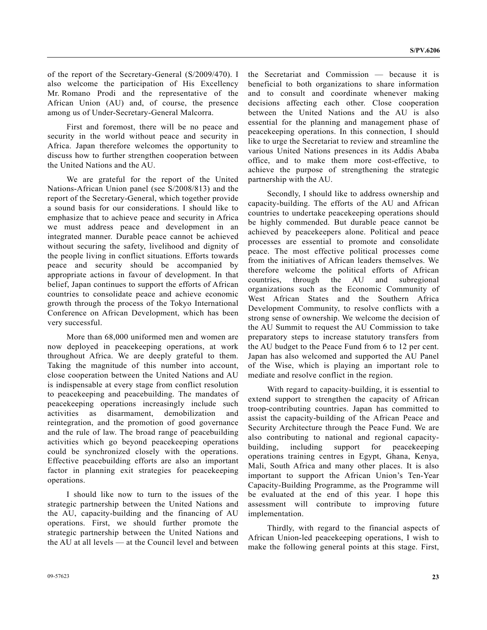of the report of the Secretary-General (S/2009/470). I also welcome the participation of His Excellency Mr. Romano Prodi and the representative of the African Union (AU) and, of course, the presence among us of Under-Secretary-General Malcorra.

 First and foremost, there will be no peace and security in the world without peace and security in Africa. Japan therefore welcomes the opportunity to discuss how to further strengthen cooperation between the United Nations and the AU.

 We are grateful for the report of the United Nations-African Union panel (see S/2008/813) and the report of the Secretary-General, which together provide a sound basis for our considerations. I should like to emphasize that to achieve peace and security in Africa we must address peace and development in an integrated manner. Durable peace cannot be achieved without securing the safety, livelihood and dignity of the people living in conflict situations. Efforts towards peace and security should be accompanied by appropriate actions in favour of development. In that belief, Japan continues to support the efforts of African countries to consolidate peace and achieve economic growth through the process of the Tokyo International Conference on African Development, which has been very successful.

 More than 68,000 uniformed men and women are now deployed in peacekeeping operations, at work throughout Africa. We are deeply grateful to them. Taking the magnitude of this number into account, close cooperation between the United Nations and AU is indispensable at every stage from conflict resolution to peacekeeping and peacebuilding. The mandates of peacekeeping operations increasingly include such activities as disarmament, demobilization and reintegration, and the promotion of good governance and the rule of law. The broad range of peacebuilding activities which go beyond peacekeeping operations could be synchronized closely with the operations. Effective peacebuilding efforts are also an important factor in planning exit strategies for peacekeeping operations.

 I should like now to turn to the issues of the strategic partnership between the United Nations and the AU, capacity-building and the financing of AU operations. First, we should further promote the strategic partnership between the United Nations and the AU at all levels — at the Council level and between the Secretariat and Commission — because it is beneficial to both organizations to share information and to consult and coordinate whenever making decisions affecting each other. Close cooperation between the United Nations and the AU is also essential for the planning and management phase of peacekeeping operations. In this connection, I should like to urge the Secretariat to review and streamline the various United Nations presences in its Addis Ababa office, and to make them more cost-effective, to achieve the purpose of strengthening the strategic partnership with the AU.

 Secondly, I should like to address ownership and capacity-building. The efforts of the AU and African countries to undertake peacekeeping operations should be highly commended. But durable peace cannot be achieved by peacekeepers alone. Political and peace processes are essential to promote and consolidate peace. The most effective political processes come from the initiatives of African leaders themselves. We therefore welcome the political efforts of African countries, through the AU and subregional organizations such as the Economic Community of West African States and the Southern Africa Development Community, to resolve conflicts with a strong sense of ownership. We welcome the decision of the AU Summit to request the AU Commission to take preparatory steps to increase statutory transfers from the AU budget to the Peace Fund from 6 to 12 per cent. Japan has also welcomed and supported the AU Panel of the Wise, which is playing an important role to mediate and resolve conflict in the region.

 With regard to capacity-building, it is essential to extend support to strengthen the capacity of African troop-contributing countries. Japan has committed to assist the capacity-building of the African Peace and Security Architecture through the Peace Fund. We are also contributing to national and regional capacitybuilding, including support for peacekeeping operations training centres in Egypt, Ghana, Kenya, Mali, South Africa and many other places. It is also important to support the African Union's Ten-Year Capacity-Building Programme, as the Programme will be evaluated at the end of this year. I hope this assessment will contribute to improving future implementation.

 Thirdly, with regard to the financial aspects of African Union-led peacekeeping operations, I wish to make the following general points at this stage. First,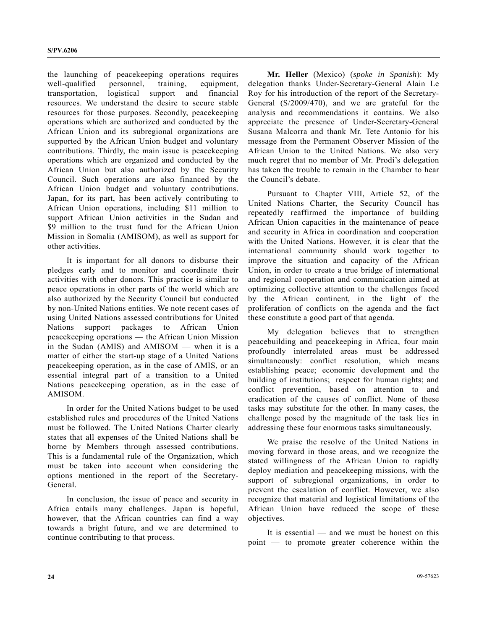the launching of peacekeeping operations requires well-qualified personnel, training, equipment, transportation, logistical support and financial resources. We understand the desire to secure stable resources for those purposes. Secondly, peacekeeping operations which are authorized and conducted by the African Union and its subregional organizations are supported by the African Union budget and voluntary contributions. Thirdly, the main issue is peacekeeping operations which are organized and conducted by the African Union but also authorized by the Security Council. Such operations are also financed by the African Union budget and voluntary contributions. Japan, for its part, has been actively contributing to African Union operations, including \$11 million to support African Union activities in the Sudan and \$9 million to the trust fund for the African Union Mission in Somalia (AMISOM), as well as support for other activities.

 It is important for all donors to disburse their pledges early and to monitor and coordinate their activities with other donors. This practice is similar to peace operations in other parts of the world which are also authorized by the Security Council but conducted by non-United Nations entities. We note recent cases of using United Nations assessed contributions for United Nations support packages to African Union peacekeeping operations — the African Union Mission in the Sudan (AMIS) and AMISOM — when it is a matter of either the start-up stage of a United Nations peacekeeping operation, as in the case of AMIS, or an essential integral part of a transition to a United Nations peacekeeping operation, as in the case of AMISOM.

 In order for the United Nations budget to be used established rules and procedures of the United Nations must be followed. The United Nations Charter clearly states that all expenses of the United Nations shall be borne by Members through assessed contributions. This is a fundamental rule of the Organization, which must be taken into account when considering the options mentioned in the report of the Secretary-General.

 In conclusion, the issue of peace and security in Africa entails many challenges. Japan is hopeful, however, that the African countries can find a way towards a bright future, and we are determined to continue contributing to that process.

**Mr. Heller** (Mexico) (*spoke in Spanish*): My delegation thanks Under-Secretary-General Alain Le Roy for his introduction of the report of the Secretary-General (S/2009/470), and we are grateful for the analysis and recommendations it contains. We also appreciate the presence of Under-Secretary-General Susana Malcorra and thank Mr. Tete Antonio for his message from the Permanent Observer Mission of the African Union to the United Nations. We also very much regret that no member of Mr. Prodi's delegation has taken the trouble to remain in the Chamber to hear the Council's debate.

 Pursuant to Chapter VIII, Article 52, of the United Nations Charter, the Security Council has repeatedly reaffirmed the importance of building African Union capacities in the maintenance of peace and security in Africa in coordination and cooperation with the United Nations. However, it is clear that the international community should work together to improve the situation and capacity of the African Union, in order to create a true bridge of international and regional cooperation and communication aimed at optimizing collective attention to the challenges faced by the African continent, in the light of the proliferation of conflicts on the agenda and the fact these constitute a good part of that agenda.

 My delegation believes that to strengthen peacebuilding and peacekeeping in Africa, four main profoundly interrelated areas must be addressed simultaneously: conflict resolution, which means establishing peace; economic development and the building of institutions; respect for human rights; and conflict prevention, based on attention to and eradication of the causes of conflict. None of these tasks may substitute for the other. In many cases, the challenge posed by the magnitude of the task lies in addressing these four enormous tasks simultaneously.

 We praise the resolve of the United Nations in moving forward in those areas, and we recognize the stated willingness of the African Union to rapidly deploy mediation and peacekeeping missions, with the support of subregional organizations, in order to prevent the escalation of conflict. However, we also recognize that material and logistical limitations of the African Union have reduced the scope of these objectives.

 It is essential — and we must be honest on this point — to promote greater coherence within the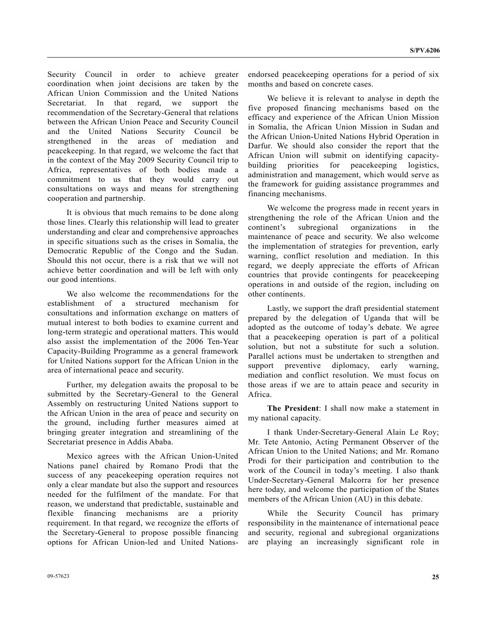Security Council in order to achieve greater coordination when joint decisions are taken by the African Union Commission and the United Nations Secretariat. In that regard, we support the recommendation of the Secretary-General that relations between the African Union Peace and Security Council and the United Nations Security Council be strengthened in the areas of mediation and peacekeeping. In that regard, we welcome the fact that in the context of the May 2009 Security Council trip to Africa, representatives of both bodies made a commitment to us that they would carry out consultations on ways and means for strengthening cooperation and partnership.

 It is obvious that much remains to be done along those lines. Clearly this relationship will lead to greater understanding and clear and comprehensive approaches in specific situations such as the crises in Somalia, the Democratic Republic of the Congo and the Sudan. Should this not occur, there is a risk that we will not achieve better coordination and will be left with only our good intentions.

 We also welcome the recommendations for the establishment of a structured mechanism for consultations and information exchange on matters of mutual interest to both bodies to examine current and long-term strategic and operational matters. This would also assist the implementation of the 2006 Ten-Year Capacity-Building Programme as a general framework for United Nations support for the African Union in the area of international peace and security.

 Further, my delegation awaits the proposal to be submitted by the Secretary-General to the General Assembly on restructuring United Nations support to the African Union in the area of peace and security on the ground, including further measures aimed at bringing greater integration and streamlining of the Secretariat presence in Addis Ababa.

 Mexico agrees with the African Union-United Nations panel chaired by Romano Prodi that the success of any peacekeeping operation requires not only a clear mandate but also the support and resources needed for the fulfilment of the mandate. For that reason, we understand that predictable, sustainable and flexible financing mechanisms are a priority requirement. In that regard, we recognize the efforts of the Secretary-General to propose possible financing options for African Union-led and United Nationsendorsed peacekeeping operations for a period of six months and based on concrete cases.

 We believe it is relevant to analyse in depth the five proposed financing mechanisms based on the efficacy and experience of the African Union Mission in Somalia, the African Union Mission in Sudan and the African Union-United Nations Hybrid Operation in Darfur. We should also consider the report that the African Union will submit on identifying capacitybuilding priorities for peacekeeping logistics, administration and management, which would serve as the framework for guiding assistance programmes and financing mechanisms.

 We welcome the progress made in recent years in strengthening the role of the African Union and the continent's subregional organizations in the maintenance of peace and security. We also welcome the implementation of strategies for prevention, early warning, conflict resolution and mediation. In this regard, we deeply appreciate the efforts of African countries that provide contingents for peacekeeping operations in and outside of the region, including on other continents.

 Lastly, we support the draft presidential statement prepared by the delegation of Uganda that will be adopted as the outcome of today's debate. We agree that a peacekeeping operation is part of a political solution, but not a substitute for such a solution. Parallel actions must be undertaken to strengthen and support preventive diplomacy, early warning, mediation and conflict resolution. We must focus on those areas if we are to attain peace and security in Africa.

**The President**: I shall now make a statement in my national capacity.

 I thank Under-Secretary-General Alain Le Roy; Mr. Tete Antonio, Acting Permanent Observer of the African Union to the United Nations; and Mr. Romano Prodi for their participation and contribution to the work of the Council in today's meeting. I also thank Under-Secretary-General Malcorra for her presence here today, and welcome the participation of the States members of the African Union (AU) in this debate.

 While the Security Council has primary responsibility in the maintenance of international peace and security, regional and subregional organizations are playing an increasingly significant role in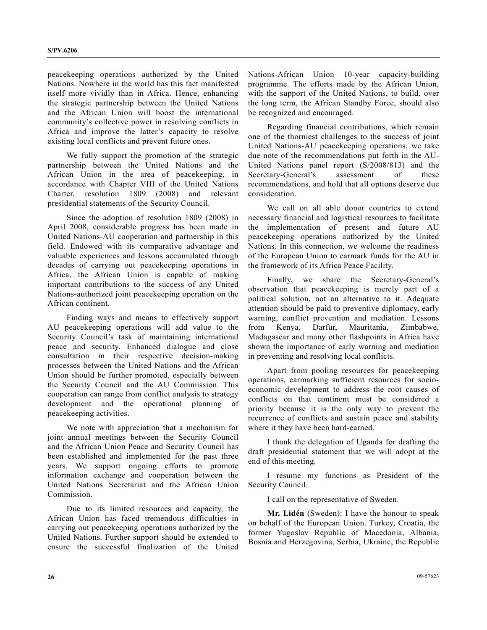peacekeeping operations authorized by the United Nations. Nowhere in the world has this fact manifested itself more vividly than in Africa. Hence, enhancing the strategic partnership between the United Nations and the African Union will boost the international community's collective power in resolving conflicts in Africa and improve the latter's capacity to resolve existing local conflicts and prevent future ones.

 We fully support the promotion of the strategic partnership between the United Nations and the African Union in the area of peacekeeping, in accordance with Chapter VIII of the United Nations Charter, resolution 1809 (2008) and relevant presidential statements of the Security Council.

 Since the adoption of resolution 1809 (2008) in April 2008, considerable progress has been made in United Nations-AU cooperation and partnership in this field. Endowed with its comparative advantage and valuable experiences and lessons accumulated through decades of carrying out peacekeeping operations in Africa, the African Union is capable of making important contributions to the success of any United Nations-authorized joint peacekeeping operation on the African continent.

 Finding ways and means to effectively support AU peacekeeping operations will add value to the Security Council's task of maintaining international peace and security. Enhanced dialogue and close consultation in their respective decision-making processes between the United Nations and the African Union should be further promoted, especially between the Security Council and the AU Commission. This cooperation can range from conflict analysis to strategy development and the operational planning of peacekeeping activities.

 We note with appreciation that a mechanism for joint annual meetings between the Security Council and the African Union Peace and Security Council has been established and implemented for the past three years. We support ongoing efforts to promote information exchange and cooperation between the United Nations Secretariat and the African Union **Commission** 

 Due to its limited resources and capacity, the African Union has faced tremendous difficulties in carrying out peacekeeping operations authorized by the United Nations. Further support should be extended to ensure the successful finalization of the United

Nations-African Union 10-year capacity-building programme. The efforts made by the African Union, with the support of the United Nations, to build, over the long term, the African Standby Force, should also be recognized and encouraged.

 Regarding financial contributions, which remain one of the thorniest challenges to the success of joint United Nations-AU peacekeeping operations, we take due note of the recommendations put forth in the AU-United Nations panel report (S/2008/813) and the Secretary-General's assessment of these recommendations, and hold that all options deserve due consideration.

 We call on all able donor countries to extend necessary financial and logistical resources to facilitate the implementation of present and future AU peacekeeping operations authorized by the United Nations. In this connection, we welcome the readiness of the European Union to earmark funds for the AU in the framework of its Africa Peace Facility.

 Finally, we share the Secretary-General's observation that peacekeeping is merely part of a political solution, not an alternative to it. Adequate attention should be paid to preventive diplomacy, early warning, conflict prevention and mediation. Lessons from Kenya, Darfur, Mauritania, Zimbabwe, Madagascar and many other flashpoints in Africa have shown the importance of early warning and mediation in preventing and resolving local conflicts.

 Apart from pooling resources for peacekeeping operations, earmarking sufficient resources for socioeconomic development to address the root causes of conflicts on that continent must be considered a priority because it is the only way to prevent the recurrence of conflicts and sustain peace and stability where it they have been hard-earned.

 I thank the delegation of Uganda for drafting the draft presidential statement that we will adopt at the end of this meeting.

 I resume my functions as President of the Security Council.

I call on the representative of Sweden.

 **Mr. Lidén** (Sweden): I have the honour to speak on behalf of the European Union. Turkey, Croatia, the former Yugoslav Republic of Macedonia, Albania, Bosnia and Herzegovina, Serbia, Ukraine, the Republic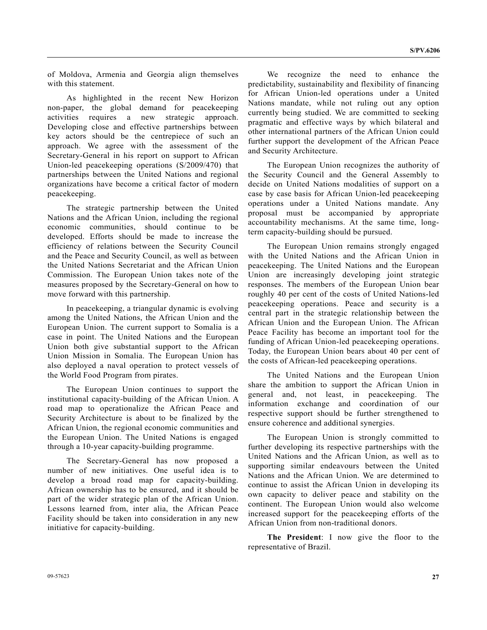of Moldova, Armenia and Georgia align themselves with this statement.

 As highlighted in the recent New Horizon non-paper, the global demand for peacekeeping activities requires a new strategic approach. Developing close and effective partnerships between key actors should be the centrepiece of such an approach. We agree with the assessment of the Secretary-General in his report on support to African Union-led peacekeeping operations (S/2009/470) that partnerships between the United Nations and regional organizations have become a critical factor of modern peacekeeping.

 The strategic partnership between the United Nations and the African Union, including the regional economic communities, should continue to be developed. Efforts should be made to increase the efficiency of relations between the Security Council and the Peace and Security Council, as well as between the United Nations Secretariat and the African Union Commission. The European Union takes note of the measures proposed by the Secretary-General on how to move forward with this partnership.

 In peacekeeping, a triangular dynamic is evolving among the United Nations, the African Union and the European Union. The current support to Somalia is a case in point. The United Nations and the European Union both give substantial support to the African Union Mission in Somalia. The European Union has also deployed a naval operation to protect vessels of the World Food Program from pirates.

 The European Union continues to support the institutional capacity-building of the African Union. A road map to operationalize the African Peace and Security Architecture is about to be finalized by the African Union, the regional economic communities and the European Union. The United Nations is engaged through a 10-year capacity-building programme.

 The Secretary-General has now proposed a number of new initiatives. One useful idea is to develop a broad road map for capacity-building. African ownership has to be ensured, and it should be part of the wider strategic plan of the African Union. Lessons learned from, inter alia, the African Peace Facility should be taken into consideration in any new initiative for capacity-building.

 We recognize the need to enhance the predictability, sustainability and flexibility of financing for African Union-led operations under a United Nations mandate, while not ruling out any option currently being studied. We are committed to seeking pragmatic and effective ways by which bilateral and other international partners of the African Union could further support the development of the African Peace and Security Architecture.

 The European Union recognizes the authority of the Security Council and the General Assembly to decide on United Nations modalities of support on a case by case basis for African Union-led peacekeeping operations under a United Nations mandate. Any proposal must be accompanied by appropriate accountability mechanisms. At the same time, longterm capacity-building should be pursued.

 The European Union remains strongly engaged with the United Nations and the African Union in peacekeeping. The United Nations and the European Union are increasingly developing joint strategic responses. The members of the European Union bear roughly 40 per cent of the costs of United Nations-led peacekeeping operations. Peace and security is a central part in the strategic relationship between the African Union and the European Union. The African Peace Facility has become an important tool for the funding of African Union-led peacekeeping operations. Today, the European Union bears about 40 per cent of the costs of African-led peacekeeping operations.

 The United Nations and the European Union share the ambition to support the African Union in general and, not least, in peacekeeping. The information exchange and coordination of our respective support should be further strengthened to ensure coherence and additional synergies.

 The European Union is strongly committed to further developing its respective partnerships with the United Nations and the African Union, as well as to supporting similar endeavours between the United Nations and the African Union. We are determined to continue to assist the African Union in developing its own capacity to deliver peace and stability on the continent. The European Union would also welcome increased support for the peacekeeping efforts of the African Union from non-traditional donors.

**The President**: I now give the floor to the representative of Brazil.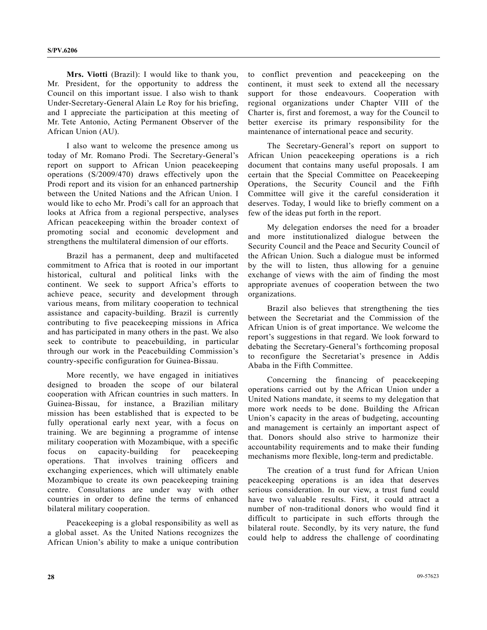**Mrs. Viotti** (Brazil): I would like to thank you, Mr. President, for the opportunity to address the Council on this important issue. I also wish to thank Under-Secretary-General Alain Le Roy for his briefing, and I appreciate the participation at this meeting of Mr. Tete Antonio, Acting Permanent Observer of the African Union (AU).

 I also want to welcome the presence among us today of Mr. Romano Prodi. The Secretary-General's report on support to African Union peacekeeping operations (S/2009/470) draws effectively upon the Prodi report and its vision for an enhanced partnership between the United Nations and the African Union. I would like to echo Mr. Prodi's call for an approach that looks at Africa from a regional perspective, analyses African peacekeeping within the broader context of promoting social and economic development and strengthens the multilateral dimension of our efforts.

 Brazil has a permanent, deep and multifaceted commitment to Africa that is rooted in our important historical, cultural and political links with the continent. We seek to support Africa's efforts to achieve peace, security and development through various means, from military cooperation to technical assistance and capacity-building. Brazil is currently contributing to five peacekeeping missions in Africa and has participated in many others in the past. We also seek to contribute to peacebuilding, in particular through our work in the Peacebuilding Commission's country-specific configuration for Guinea-Bissau.

 More recently, we have engaged in initiatives designed to broaden the scope of our bilateral cooperation with African countries in such matters. In Guinea-Bissau, for instance, a Brazilian military mission has been established that is expected to be fully operational early next year, with a focus on training. We are beginning a programme of intense military cooperation with Mozambique, with a specific focus on capacity-building for peacekeeping operations. That involves training officers and exchanging experiences, which will ultimately enable Mozambique to create its own peacekeeping training centre. Consultations are under way with other countries in order to define the terms of enhanced bilateral military cooperation.

 Peacekeeping is a global responsibility as well as a global asset. As the United Nations recognizes the African Union's ability to make a unique contribution to conflict prevention and peacekeeping on the continent, it must seek to extend all the necessary support for those endeavours. Cooperation with regional organizations under Chapter VIII of the Charter is, first and foremost, a way for the Council to better exercise its primary responsibility for the maintenance of international peace and security.

 The Secretary-General's report on support to African Union peacekeeping operations is a rich document that contains many useful proposals. I am certain that the Special Committee on Peacekeeping Operations, the Security Council and the Fifth Committee will give it the careful consideration it deserves. Today, I would like to briefly comment on a few of the ideas put forth in the report.

 My delegation endorses the need for a broader and more institutionalized dialogue between the Security Council and the Peace and Security Council of the African Union. Such a dialogue must be informed by the will to listen, thus allowing for a genuine exchange of views with the aim of finding the most appropriate avenues of cooperation between the two organizations.

 Brazil also believes that strengthening the ties between the Secretariat and the Commission of the African Union is of great importance. We welcome the report's suggestions in that regard. We look forward to debating the Secretary-General's forthcoming proposal to reconfigure the Secretariat's presence in Addis Ababa in the Fifth Committee.

 Concerning the financing of peacekeeping operations carried out by the African Union under a United Nations mandate, it seems to my delegation that more work needs to be done. Building the African Union's capacity in the areas of budgeting, accounting and management is certainly an important aspect of that. Donors should also strive to harmonize their accountability requirements and to make their funding mechanisms more flexible, long-term and predictable.

 The creation of a trust fund for African Union peacekeeping operations is an idea that deserves serious consideration. In our view, a trust fund could have two valuable results. First, it could attract a number of non-traditional donors who would find it difficult to participate in such efforts through the bilateral route. Secondly, by its very nature, the fund could help to address the challenge of coordinating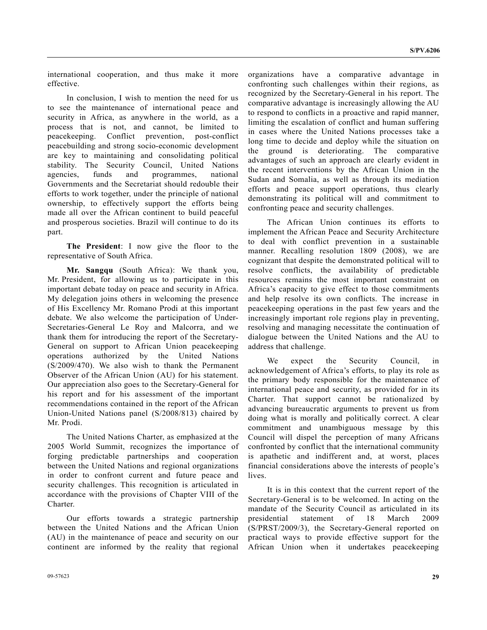international cooperation, and thus make it more effective.

 In conclusion, I wish to mention the need for us to see the maintenance of international peace and security in Africa, as anywhere in the world, as a process that is not, and cannot, be limited to peacekeeping. Conflict prevention, post-conflict peacebuilding and strong socio-economic development are key to maintaining and consolidating political stability. The Security Council, United Nations agencies, funds and programmes, national Governments and the Secretariat should redouble their efforts to work together, under the principle of national ownership, to effectively support the efforts being made all over the African continent to build peaceful and prosperous societies. Brazil will continue to do its part.

**The President**: I now give the floor to the representative of South Africa.

**Mr. Sangqu** (South Africa): We thank you, Mr. President, for allowing us to participate in this important debate today on peace and security in Africa. My delegation joins others in welcoming the presence of His Excellency Mr. Romano Prodi at this important debate. We also welcome the participation of Under-Secretaries-General Le Roy and Malcorra, and we thank them for introducing the report of the Secretary-General on support to African Union peacekeeping operations authorized by the United Nations (S/2009/470). We also wish to thank the Permanent Observer of the African Union (AU) for his statement. Our appreciation also goes to the Secretary-General for his report and for his assessment of the important recommendations contained in the report of the African Union-United Nations panel (S/2008/813) chaired by Mr. Prodi.

 The United Nations Charter, as emphasized at the 2005 World Summit, recognizes the importance of forging predictable partnerships and cooperation between the United Nations and regional organizations in order to confront current and future peace and security challenges. This recognition is articulated in accordance with the provisions of Chapter VIII of the Charter.

 Our efforts towards a strategic partnership between the United Nations and the African Union (AU) in the maintenance of peace and security on our continent are informed by the reality that regional organizations have a comparative advantage in confronting such challenges within their regions, as recognized by the Secretary-General in his report. The comparative advantage is increasingly allowing the AU to respond to conflicts in a proactive and rapid manner, limiting the escalation of conflict and human suffering in cases where the United Nations processes take a long time to decide and deploy while the situation on the ground is deteriorating. The comparative advantages of such an approach are clearly evident in the recent interventions by the African Union in the Sudan and Somalia, as well as through its mediation efforts and peace support operations, thus clearly demonstrating its political will and commitment to confronting peace and security challenges.

 The African Union continues its efforts to implement the African Peace and Security Architecture to deal with conflict prevention in a sustainable manner. Recalling resolution 1809 (2008), we are cognizant that despite the demonstrated political will to resolve conflicts, the availability of predictable resources remains the most important constraint on Africa's capacity to give effect to those commitments and help resolve its own conflicts. The increase in peacekeeping operations in the past few years and the increasingly important role regions play in preventing, resolving and managing necessitate the continuation of dialogue between the United Nations and the AU to address that challenge.

 We expect the Security Council, in acknowledgement of Africa's efforts, to play its role as the primary body responsible for the maintenance of international peace and security, as provided for in its Charter. That support cannot be rationalized by advancing bureaucratic arguments to prevent us from doing what is morally and politically correct. A clear commitment and unambiguous message by this Council will dispel the perception of many Africans confronted by conflict that the international community is apathetic and indifferent and, at worst, places financial considerations above the interests of people's lives.

 It is in this context that the current report of the Secretary-General is to be welcomed. In acting on the mandate of the Security Council as articulated in its presidential statement of 18 March 2009 (S/PRST/2009/3), the Secretary-General reported on practical ways to provide effective support for the African Union when it undertakes peacekeeping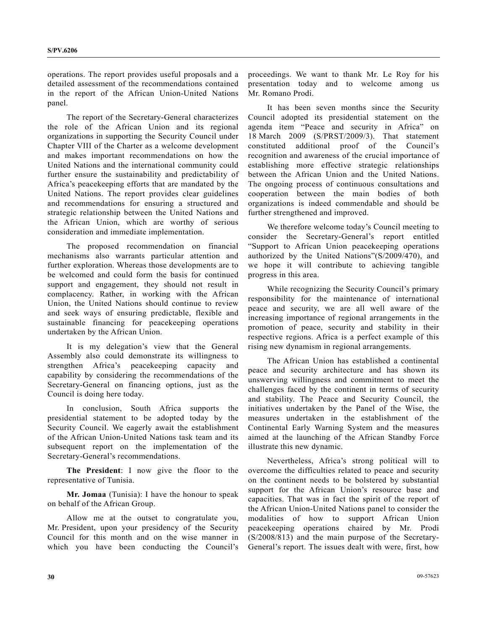operations. The report provides useful proposals and a detailed assessment of the recommendations contained in the report of the African Union-United Nations panel.

 The report of the Secretary-General characterizes the role of the African Union and its regional organizations in supporting the Security Council under Chapter VIII of the Charter as a welcome development and makes important recommendations on how the United Nations and the international community could further ensure the sustainability and predictability of Africa's peacekeeping efforts that are mandated by the United Nations. The report provides clear guidelines and recommendations for ensuring a structured and strategic relationship between the United Nations and the African Union, which are worthy of serious consideration and immediate implementation.

 The proposed recommendation on financial mechanisms also warrants particular attention and further exploration. Whereas those developments are to be welcomed and could form the basis for continued support and engagement, they should not result in complacency. Rather, in working with the African Union, the United Nations should continue to review and seek ways of ensuring predictable, flexible and sustainable financing for peacekeeping operations undertaken by the African Union.

 It is my delegation's view that the General Assembly also could demonstrate its willingness to strengthen Africa's peacekeeping capacity and capability by considering the recommendations of the Secretary-General on financing options, just as the Council is doing here today.

 In conclusion, South Africa supports the presidential statement to be adopted today by the Security Council. We eagerly await the establishment of the African Union-United Nations task team and its subsequent report on the implementation of the Secretary-General's recommendations.

**The President**: I now give the floor to the representative of Tunisia.

**Mr. Jomaa** (Tunisia): I have the honour to speak on behalf of the African Group.

 Allow me at the outset to congratulate you, Mr. President, upon your presidency of the Security Council for this month and on the wise manner in which you have been conducting the Council's

proceedings. We want to thank Mr. Le Roy for his presentation today and to welcome among us Mr. Romano Prodi.

 It has been seven months since the Security Council adopted its presidential statement on the agenda item "Peace and security in Africa" on 18 March 2009 (S/PRST/2009/3). That statement constituted additional proof of the Council's recognition and awareness of the crucial importance of establishing more effective strategic relationships between the African Union and the United Nations. The ongoing process of continuous consultations and cooperation between the main bodies of both organizations is indeed commendable and should be further strengthened and improved.

 We therefore welcome today's Council meeting to consider the Secretary-General's report entitled "Support to African Union peacekeeping operations authorized by the United Nations"(S/2009/470), and we hope it will contribute to achieving tangible progress in this area.

 While recognizing the Security Council's primary responsibility for the maintenance of international peace and security, we are all well aware of the increasing importance of regional arrangements in the promotion of peace, security and stability in their respective regions. Africa is a perfect example of this rising new dynamism in regional arrangements.

 The African Union has established a continental peace and security architecture and has shown its unswerving willingness and commitment to meet the challenges faced by the continent in terms of security and stability. The Peace and Security Council, the initiatives undertaken by the Panel of the Wise, the measures undertaken in the establishment of the Continental Early Warning System and the measures aimed at the launching of the African Standby Force illustrate this new dynamic.

 Nevertheless, Africa's strong political will to overcome the difficulties related to peace and security on the continent needs to be bolstered by substantial support for the African Union's resource base and capacities. That was in fact the spirit of the report of the African Union-United Nations panel to consider the modalities of how to support African Union peacekeeping operations chaired by Mr. Prodi (S/2008/813) and the main purpose of the Secretary-General's report. The issues dealt with were, first, how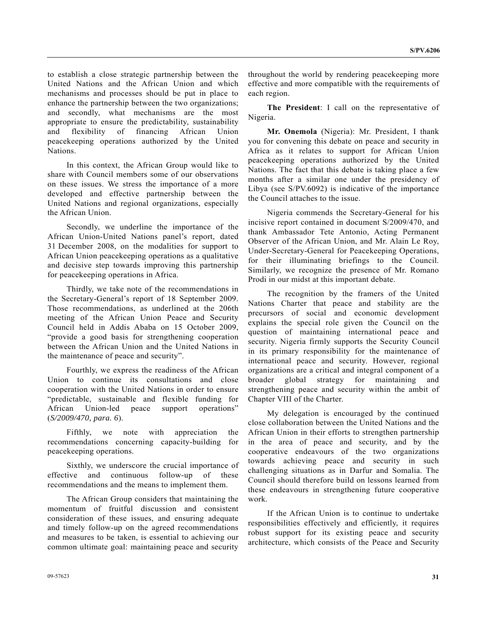to establish a close strategic partnership between the United Nations and the African Union and which mechanisms and processes should be put in place to enhance the partnership between the two organizations; and secondly, what mechanisms are the most appropriate to ensure the predictability, sustainability and flexibility of financing African Union peacekeeping operations authorized by the United Nations.

 In this context, the African Group would like to share with Council members some of our observations on these issues. We stress the importance of a more developed and effective partnership between the United Nations and regional organizations, especially the African Union.

 Secondly, we underline the importance of the African Union-United Nations panel's report, dated 31 December 2008, on the modalities for support to African Union peacekeeping operations as a qualitative and decisive step towards improving this partnership for peacekeeping operations in Africa.

 Thirdly, we take note of the recommendations in the Secretary-General's report of 18 September 2009. Those recommendations, as underlined at the 206th meeting of the African Union Peace and Security Council held in Addis Ababa on 15 October 2009, "provide a good basis for strengthening cooperation between the African Union and the United Nations in the maintenance of peace and security".

 Fourthly, we express the readiness of the African Union to continue its consultations and close cooperation with the United Nations in order to ensure "predictable, sustainable and flexible funding for African Union-led peace support operations" (*S/2009/470, para. 6*).

 Fifthly, we note with appreciation the recommendations concerning capacity-building for peacekeeping operations.

 Sixthly, we underscore the crucial importance of effective and continuous follow-up of these recommendations and the means to implement them.

 The African Group considers that maintaining the momentum of fruitful discussion and consistent consideration of these issues, and ensuring adequate and timely follow-up on the agreed recommendations and measures to be taken, is essential to achieving our common ultimate goal: maintaining peace and security

throughout the world by rendering peacekeeping more effective and more compatible with the requirements of each region.

**The President**: I call on the representative of Nigeria.

**Mr. Onemola** (Nigeria): Mr. President, I thank you for convening this debate on peace and security in Africa as it relates to support for African Union peacekeeping operations authorized by the United Nations. The fact that this debate is taking place a few months after a similar one under the presidency of Libya (see S/PV.6092) is indicative of the importance the Council attaches to the issue.

 Nigeria commends the Secretary-General for his incisive report contained in document S/2009/470, and thank Ambassador Tete Antonio, Acting Permanent Observer of the African Union, and Mr. Alain Le Roy, Under-Secretary-General for Peacekeeping Operations, for their illuminating briefings to the Council. Similarly, we recognize the presence of Mr. Romano Prodi in our midst at this important debate.

 The recognition by the framers of the United Nations Charter that peace and stability are the precursors of social and economic development explains the special role given the Council on the question of maintaining international peace and security. Nigeria firmly supports the Security Council in its primary responsibility for the maintenance of international peace and security. However, regional organizations are a critical and integral component of a broader global strategy for maintaining and strengthening peace and security within the ambit of Chapter VIII of the Charter.

 My delegation is encouraged by the continued close collaboration between the United Nations and the African Union in their efforts to strengthen partnership in the area of peace and security, and by the cooperative endeavours of the two organizations towards achieving peace and security in such challenging situations as in Darfur and Somalia. The Council should therefore build on lessons learned from these endeavours in strengthening future cooperative work.

 If the African Union is to continue to undertake responsibilities effectively and efficiently, it requires robust support for its existing peace and security architecture, which consists of the Peace and Security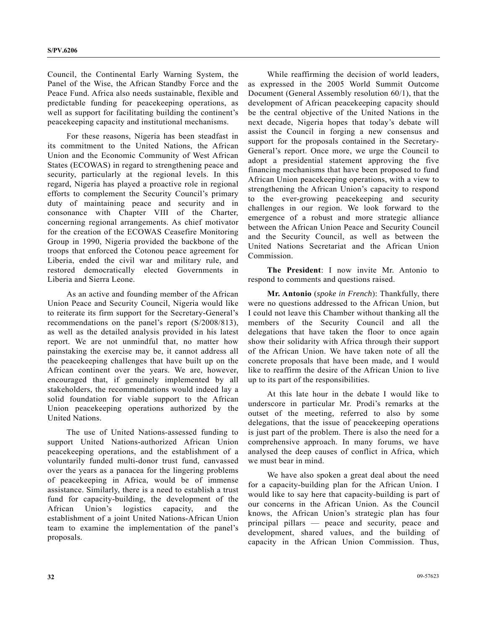Council, the Continental Early Warning System, the Panel of the Wise, the African Standby Force and the Peace Fund. Africa also needs sustainable, flexible and predictable funding for peacekeeping operations, as well as support for facilitating building the continent's peacekeeping capacity and institutional mechanisms.

 For these reasons, Nigeria has been steadfast in its commitment to the United Nations, the African Union and the Economic Community of West African States (ECOWAS) in regard to strengthening peace and security, particularly at the regional levels. In this regard, Nigeria has played a proactive role in regional efforts to complement the Security Council's primary duty of maintaining peace and security and in consonance with Chapter VIII of the Charter, concerning regional arrangements. As chief motivator for the creation of the ECOWAS Ceasefire Monitoring Group in 1990, Nigeria provided the backbone of the troops that enforced the Cotonou peace agreement for Liberia, ended the civil war and military rule, and restored democratically elected Governments in Liberia and Sierra Leone.

 As an active and founding member of the African Union Peace and Security Council, Nigeria would like to reiterate its firm support for the Secretary-General's recommendations on the panel's report (S/2008/813), as well as the detailed analysis provided in his latest report. We are not unmindful that, no matter how painstaking the exercise may be, it cannot address all the peacekeeping challenges that have built up on the African continent over the years. We are, however, encouraged that, if genuinely implemented by all stakeholders, the recommendations would indeed lay a solid foundation for viable support to the African Union peacekeeping operations authorized by the United Nations.

 The use of United Nations-assessed funding to support United Nations-authorized African Union peacekeeping operations, and the establishment of a voluntarily funded multi-donor trust fund, canvassed over the years as a panacea for the lingering problems of peacekeeping in Africa, would be of immense assistance. Similarly, there is a need to establish a trust fund for capacity-building, the development of the African Union's logistics capacity, and the establishment of a joint United Nations-African Union team to examine the implementation of the panel's proposals.

 While reaffirming the decision of world leaders, as expressed in the 2005 World Summit Outcome Document (General Assembly resolution 60/1), that the development of African peacekeeping capacity should be the central objective of the United Nations in the next decade, Nigeria hopes that today's debate will assist the Council in forging a new consensus and support for the proposals contained in the Secretary-General's report. Once more, we urge the Council to adopt a presidential statement approving the five financing mechanisms that have been proposed to fund African Union peacekeeping operations, with a view to strengthening the African Union's capacity to respond to the ever-growing peacekeeping and security challenges in our region. We look forward to the emergence of a robust and more strategic alliance between the African Union Peace and Security Council and the Security Council, as well as between the United Nations Secretariat and the African Union Commission.

 **The President**: I now invite Mr. Antonio to respond to comments and questions raised.

 **Mr. Antonio** (*spoke in French*): Thankfully, there were no questions addressed to the African Union, but I could not leave this Chamber without thanking all the members of the Security Council and all the delegations that have taken the floor to once again show their solidarity with Africa through their support of the African Union. We have taken note of all the concrete proposals that have been made, and I would like to reaffirm the desire of the African Union to live up to its part of the responsibilities.

 At this late hour in the debate I would like to underscore in particular Mr. Prodi's remarks at the outset of the meeting, referred to also by some delegations, that the issue of peacekeeping operations is just part of the problem. There is also the need for a comprehensive approach. In many forums, we have analysed the deep causes of conflict in Africa, which we must bear in mind.

 We have also spoken a great deal about the need for a capacity-building plan for the African Union. I would like to say here that capacity-building is part of our concerns in the African Union. As the Council knows, the African Union's strategic plan has four principal pillars — peace and security, peace and development, shared values, and the building of capacity in the African Union Commission. Thus,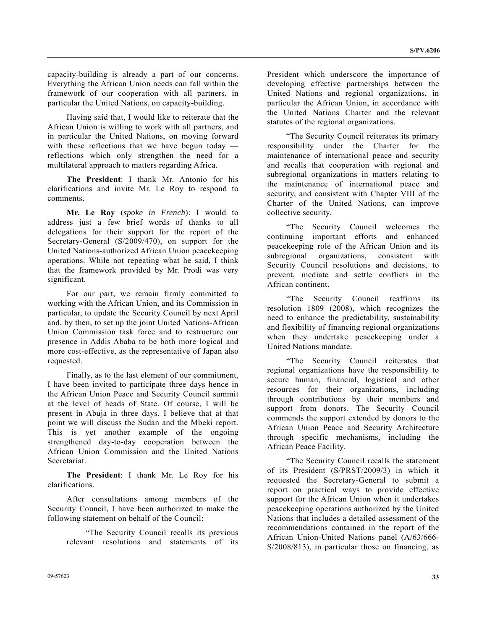capacity-building is already a part of our concerns. Everything the African Union needs can fall within the framework of our cooperation with all partners, in particular the United Nations, on capacity-building.

 Having said that, I would like to reiterate that the African Union is willing to work with all partners, and in particular the United Nations, on moving forward with these reflections that we have begun today reflections which only strengthen the need for a multilateral approach to matters regarding Africa.

**The President**: I thank Mr. Antonio for his clarifications and invite Mr. Le Roy to respond to comments.

**Mr. Le Roy** (*spoke in French*): I would to address just a few brief words of thanks to all delegations for their support for the report of the Secretary-General (S/2009/470), on support for the United Nations-authorized African Union peacekeeping operations. While not repeating what he said, I think that the framework provided by Mr. Prodi was very significant.

 For our part, we remain firmly committed to working with the African Union, and its Commission in particular, to update the Security Council by next April and, by then, to set up the joint United Nations-African Union Commission task force and to restructure our presence in Addis Ababa to be both more logical and more cost-effective, as the representative of Japan also requested.

 Finally, as to the last element of our commitment, I have been invited to participate three days hence in the African Union Peace and Security Council summit at the level of heads of State. Of course, I will be present in Abuja in three days. I believe that at that point we will discuss the Sudan and the Mbeki report. This is yet another example of the ongoing strengthened day-to-day cooperation between the African Union Commission and the United Nations **Secretariat** 

**The President**: I thank Mr. Le Roy for his clarifications.

 After consultations among members of the Security Council, I have been authorized to make the following statement on behalf of the Council:

 "The Security Council recalls its previous relevant resolutions and statements of its

President which underscore the importance of developing effective partnerships between the United Nations and regional organizations, in particular the African Union, in accordance with the United Nations Charter and the relevant statutes of the regional organizations.

 "The Security Council reiterates its primary responsibility under the Charter for the maintenance of international peace and security and recalls that cooperation with regional and subregional organizations in matters relating to the maintenance of international peace and security, and consistent with Chapter VIII of the Charter of the United Nations, can improve collective security.

 "The Security Council welcomes the continuing important efforts and enhanced peacekeeping role of the African Union and its subregional organizations, consistent with Security Council resolutions and decisions, to prevent, mediate and settle conflicts in the African continent.

 "The Security Council reaffirms its resolution 1809 (2008), which recognizes the need to enhance the predictability, sustainability and flexibility of financing regional organizations when they undertake peacekeeping under a United Nations mandate.

 "The Security Council reiterates that regional organizations have the responsibility to secure human, financial, logistical and other resources for their organizations, including through contributions by their members and support from donors. The Security Council commends the support extended by donors to the African Union Peace and Security Architecture through specific mechanisms, including the African Peace Facility.

 "The Security Council recalls the statement of its President (S/PRST/2009/3) in which it requested the Secretary-General to submit a report on practical ways to provide effective support for the African Union when it undertakes peacekeeping operations authorized by the United Nations that includes a detailed assessment of the recommendations contained in the report of the African Union-United Nations panel (A/63/666- S/2008/813), in particular those on financing, as